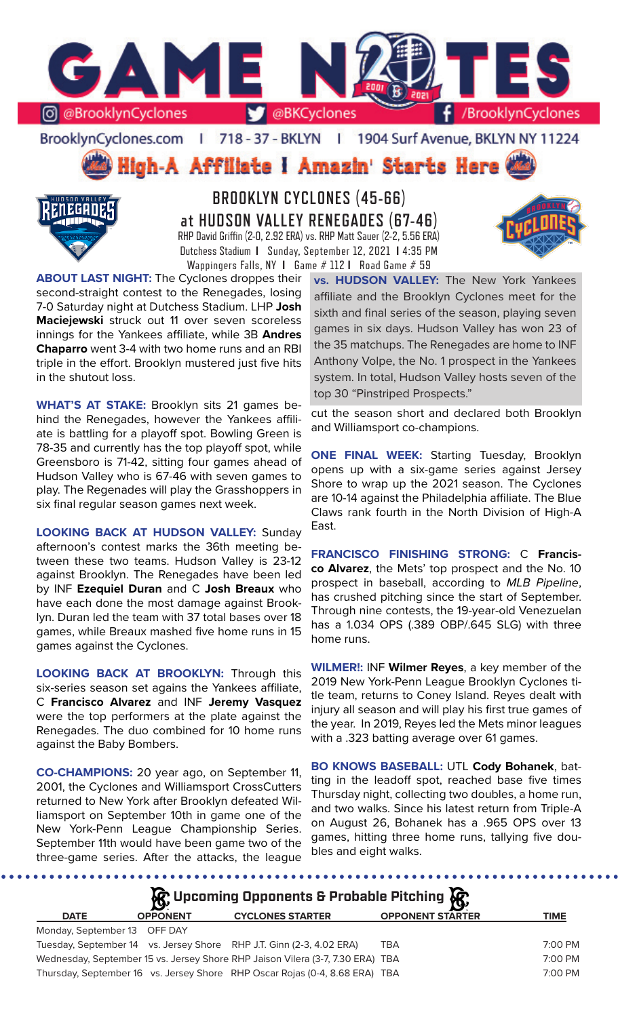

BrooklynCyclones.com | 718 - 37 - BKLYN | 1904 Surf Avenue, BKLYN NY 11224

**High-A Affiliate I Amazin' Starts Here** 



**BROOKLYN CYCLONES (45-66) at HUDSON VALLEY RENEGADES (67-46)** RHP David Griffin (2-0, 2.92 ERA) vs. RHP Matt Sauer (2-2, 5.56 ERA) Dutchess Stadium **I** Sunday, September 12, 2021 **I** 4:35 PM Wappingers Falls, NY **I** Game # 112 **I** Road Game # 59

**ABOUT LAST NIGHT:** The Cyclones droppes their second-straight contest to the Renegades, losing 7-0 Saturday night at Dutchess Stadium. LHP **Josh Maciejewski** struck out 11 over seven scoreless innings for the Yankees affiliate, while 3B **Andres Chaparro** went 3-4 with two home runs and an RBI triple in the effort. Brooklyn mustered just five hits in the shutout loss.

**WHAT'S AT STAKE:** Brooklyn sits 21 games behind the Renegades, however the Yankees affiliate is battling for a playoff spot. Bowling Green is 78-35 and currently has the top playoff spot, while Greensboro is 71-42, sitting four games ahead of Hudson Valley who is 67-46 with seven games to play. The Regenades will play the Grasshoppers in six final regular season games next week.

**LOOKING BACK AT HUDSON VALLEY:** Sunday afternoon's contest marks the 36th meeting between these two teams. Hudson Valley is 23-12 against Brooklyn. The Renegades have been led by INF **Ezequiel Duran** and C **Josh Breaux** who have each done the most damage against Brooklyn. Duran led the team with 37 total bases over 18 games, while Breaux mashed five home runs in 15 games against the Cyclones.

**LOOKING BACK AT BROOKLYN:** Through this six-series season set agains the Yankees affiliate, C **Francisco Alvarez** and INF **Jeremy Vasquez**  were the top performers at the plate against the Renegades. The duo combined for 10 home runs against the Baby Bombers.

**CO-CHAMPIONS:** 20 year ago, on September 11, 2001, the Cyclones and Williamsport CrossCutters returned to New York after Brooklyn defeated Williamsport on September 10th in game one of the New York-Penn League Championship Series. September 11th would have been game two of the three-game series. After the attacks, the league

**vs. HUDSON VALLEY:** The New York Yankees affiliate and the Brooklyn Cyclones meet for the sixth and final series of the season, playing seven games in six days. Hudson Valley has won 23 of the 35 matchups. The Renegades are home to INF Anthony Volpe, the No. 1 prospect in the Yankees system. In total, Hudson Valley hosts seven of the top 30 "Pinstriped Prospects."

cut the season short and declared both Brooklyn and Williamsport co-champions.

**ONE FINAL WEEK:** Starting Tuesday, Brooklyn opens up with a six-game series against Jersey Shore to wrap up the 2021 season. The Cyclones are 10-14 against the Philadelphia affiliate. The Blue Claws rank fourth in the North Division of High-A East.

**FRANCISCO FINISHING STRONG:** C **Francisco Alvarez**, the Mets' top prospect and the No. 10 prospect in baseball, according to *MLB Pipeline*, has crushed pitching since the start of September. Through nine contests, the 19-year-old Venezuelan has a 1.034 OPS (.389 OBP/.645 SLG) with three home runs.

**WILMER!:** INF **Wilmer Reyes**, a key member of the 2019 New York-Penn League Brooklyn Cyclones title team, returns to Coney Island. Reyes dealt with injury all season and will play his first true games of the year. In 2019, Reyes led the Mets minor leagues with a .323 batting average over 61 games.

**BO KNOWS BASEBALL:** UTL **Cody Bohanek**, batting in the leadoff spot, reached base five times Thursday night, collecting two doubles, a home run, and two walks. Since his latest return from Triple-A on August 26, Bohanek has a .965 OPS over 13 games, hitting three home runs, tallying five doubles and eight walks.

| $\mathcal{R}$ , Upcoming Opponents & Probable Pitching $\mathcal{R}$ |                 |                                                                                |                         |             |  |  |  |  |
|----------------------------------------------------------------------|-----------------|--------------------------------------------------------------------------------|-------------------------|-------------|--|--|--|--|
| <b>DATE</b>                                                          | <b>OPPONENT</b> | <b>CYCLONES STARTER</b>                                                        | <b>OPPONENT STARTER</b> | <b>TIME</b> |  |  |  |  |
| Monday, September 13 OFF DAY                                         |                 |                                                                                |                         |             |  |  |  |  |
|                                                                      |                 | Tuesday, September 14 vs. Jersey Shore RHP J.T. Ginn (2-3, 4.02 ERA)           | <b>TBA</b>              | 7:00 PM     |  |  |  |  |
|                                                                      |                 | Wednesday, September 15 vs. Jersey Shore RHP Jaison Vilera (3-7, 7.30 ERA) TBA |                         | 7:00 PM     |  |  |  |  |
|                                                                      |                 | Thursday, September 16 vs. Jersey Shore RHP Oscar Rojas (0-4, 8.68 ERA) TBA    |                         | 7:00 PM     |  |  |  |  |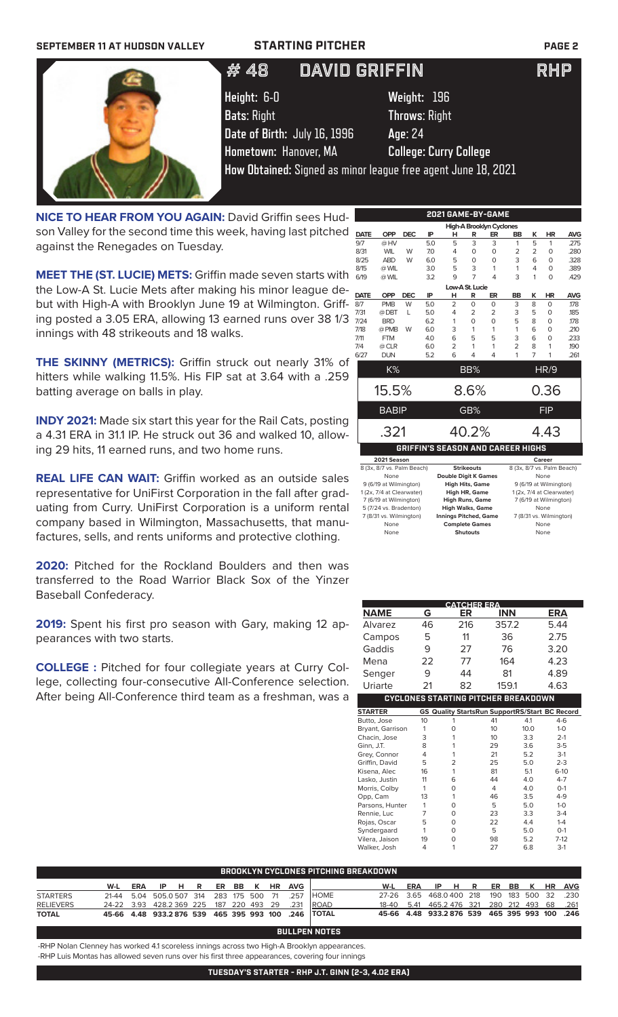### **SEPTEMBER 11 AT HUDSON VALLEY STARTING PITCHER PAGE 2**

# 48 DAVID GRIFFIN RHP



**Bats**: Right **Throws**: Right **Date of Birth:** July 16, 1996 **Age**: 24

**Height:** 6-0 **Weight:** 196 **Hometown:** Hanover, MA **College: Curry College**

**How Obtained:** Signed as minor league free agent June 18, 2021

**NICE TO HEAR FROM YOU AGAIN:** David Griffin sees Hudson Valley for the second time this week, having last pitched against the Renegades on Tuesday.

**MEET THE (ST. LUCIE) METS:** Griffin made seven starts with the Low-A St. Lucie Mets after making his minor league debut with High-A with Brooklyn June 19 at Wilmington. Griffing posted a 3.05 ERA, allowing 13 earned runs over 38 1/3 innings with 48 strikeouts and 18 walks.

**THE SKINNY (METRICS):** Griffin struck out nearly 31% of hitters while walking 11.5%. His FIP sat at 3.64 with a .259 batting average on balls in play.

**INDY 2021:** Made six start this year for the Rail Cats, posting a 4.31 ERA in 31.1 IP. He struck out 36 and walked 10, allowing 29 hits, 11 earned runs, and two home runs.

**REAL LIFE CAN WAIT:** Griffin worked as an outside sales representative for UniFirst Corporation in the fall after graduating from Curry. UniFirst Corporation is a uniform rental company based in Wilmington, Massachusetts, that manufactures, sells, and rents uniforms and protective clothing.

**2020:** Pitched for the Rockland Boulders and then was transferred to the Road Warrior Black Sox of the Yinzer Baseball Confederacy.

**2019:** Spent his first pro season with Gary, making 12 appearances with two starts.

**COLLEGE :** Pitched for four collegiate years at Curry College, collecting four-consecutive All-Conference selection. After being All-Conference third team as a freshman, was a

|             |              |            |                                   |                |                 | 2021 GAME-BY-GAME        |                |                |            |            |
|-------------|--------------|------------|-----------------------------------|----------------|-----------------|--------------------------|----------------|----------------|------------|------------|
|             |              |            |                                   |                |                 | High-A Brooklyn Cyclones |                |                |            |            |
| <b>DATE</b> | <b>OPP</b>   | <b>DEC</b> | IP                                | н              | R               | ER                       | BB             | κ              | <b>HR</b>  | <b>AVG</b> |
| 9/7         | @HV          |            | 5.0                               | 5              | 3               | 3                        | 1              | 5              | 1          | .275       |
| 8/31        | <b>WIL</b>   | W          | 7.0                               | 4              | $\Omega$        | $\Omega$                 | 2              | $\overline{2}$ | 0          | .280       |
| 8/25        | <b>ABD</b>   | W          | 6.0                               | 5              | $\Omega$        | $\Omega$                 | 3              | 6              | 0          | .328       |
| 8/15        | @ WIL        |            | 3.0                               | 5              | 3               | 1                        | 1              | 4              | $\Omega$   | .389       |
| 6/19        | @ WIL        |            | 3.2                               | 9              | $\overline{7}$  | 4                        | 3              | 1              | $\Omega$   | .429       |
|             |              |            |                                   |                | Low-A St. Lucie |                          |                |                |            |            |
| <b>DATE</b> | <b>OPP</b>   | <b>DEC</b> | IP                                | н              | R               | ER                       | BB             | κ              | <b>HR</b>  | <b>AVG</b> |
| 8/7         | <b>PMB</b>   | W          | 5.0                               | $\overline{2}$ | $\Omega$        | $\Omega$                 | 3              | 8              | $\Omega$   | .178       |
| 7/31        | @DBT         | L          | 5.0                               | 4              | 2               | 2                        | 3              | 5              | $\Omega$   | .185       |
| 7/24        | <b>BRD</b>   |            | 6.2                               | 1              | 0               | 0                        | 5              | 8              | $\Omega$   | .178       |
| 7/18        | @ PMB        | W          | 6.0                               | 3              | 1               | 1                        | 1              | 6              | O          | .210       |
| 7/11        | <b>FTM</b>   |            | 4.0                               | 6              | 5               | 5                        | 3              | 6              | $\Omega$   | .233       |
| 7/4         | @ CLR        |            | 6.0                               | 2              | 1               | 1                        | $\overline{2}$ | 8              | 1          | .190       |
| 6/27        | <b>DUN</b>   |            | 5.2                               | 6              | 4               | 4                        | 1              | $\overline{7}$ | 1          | .261       |
|             | K%           |            |                                   |                | BB%             |                          |                |                | H R/9      |            |
|             |              |            |                                   |                |                 |                          |                |                |            |            |
|             | 15.5%        |            |                                   |                | 8.6%            |                          |                |                | 0.36       |            |
|             | <b>BABIP</b> |            |                                   |                | GB%             |                          |                |                | <b>FIP</b> |            |
|             | .321         |            |                                   |                | 40.2%           |                          |                |                | 4.43       |            |
|             |              |            |                                   |                |                 |                          |                |                |            |            |
|             |              |            | GRIFFIN'S SEASON AND CAREER HIGHS |                |                 |                          |                |                |            |            |
|             | 2021 Season  |            |                                   |                |                 |                          |                |                | Career     |            |

| 2021 Season                |                              | Career                     |
|----------------------------|------------------------------|----------------------------|
| 8 (3x, 8/7 vs. Palm Beach) | <b>Strikeouts</b>            | 8 (3x, 8/7 vs. Palm Beach) |
| None                       | <b>Double Digit K Games</b>  | None                       |
| 9 (6/19 at Wilmington)     | <b>High Hits, Game</b>       | 9 (6/19 at Wilmington)     |
| 1 (2x, 7/4 at Clearwater)  | High HR, Game                | 1 (2x, 7/4 at Clearwater)  |
| 7 (6/19 at Wilmington)     | <b>High Runs, Game</b>       | 7 (6/19 at Wilmington)     |
| 5 (7/24 vs. Bradenton)     | <b>High Walks, Game</b>      | None                       |
| 7 (8/31 vs. Wilmington)    | <b>Innings Pitched, Game</b> | 7 (8/31 vs. Wilmington)    |
| None                       | <b>Complete Games</b>        | None                       |
| None                       | <b>Shutouts</b>              | None                       |
|                            |                              |                            |

|                  |    | <b>CATCHER ERA</b>                                    |                 |      |         |
|------------------|----|-------------------------------------------------------|-----------------|------|---------|
| <b>NAME</b>      | G  | ER                                                    | <b>INN</b>      |      | ERA     |
| <b>Alvarez</b>   | 46 | 216                                                   | 357.2           |      | 5.44    |
| Campos           | 5  | 11                                                    | 36              |      | 2.75    |
| Gaddis           | 9  | 27                                                    | 76              |      | 3.20    |
| Mena             | 22 | 77                                                    | 164             |      | 4.23    |
| Senger           | 9  | 44                                                    | 81              |      | 4.89    |
| Uriarte          | 21 | 82                                                    | 159.1           |      | 4.63    |
|                  |    | <b>CYCLONES STARTING PITCHER BREAKDOWN</b>            |                 |      |         |
| <b>STARTER</b>   |    | <b>GS Quality StartsRun SupportRS/Start BC Record</b> |                 |      |         |
| Butto, Jose      | 10 | 1                                                     | 41              | 4.1  | $4-6$   |
| Bryant, Garrison | 1  | 0                                                     | 10              | 10.0 | $1 - 0$ |
| Chacin, Jose     | 3  | 1                                                     | 10 <sup>2</sup> | 3.3  | $2 - 1$ |
| Ginn, J.T.       | 8  | 1                                                     | 29              | 3.6  | $3 - 5$ |
| Grey, Connor     | 4  | 1                                                     | 21              | 5.2  | $3-1$   |
| Griffin, David   | 5  | $\overline{2}$                                        | 25              | 5.0  | $2 - 3$ |
| Kisena, Alec     | 16 | 1                                                     | 81              | 5.1  | $6-10$  |
| Lasko, Justin    | 11 | 6                                                     | 44              | 4.0  | $4 - 7$ |
| Morris, Colby    | 1  | 0                                                     | 4               | 4.0  | $O-1$   |
| Opp, Cam         | 13 | 1                                                     | 46              | 3.5  | $4-9$   |
| Parsons, Hunter  | 1  | $\Omega$                                              | 5               | 5.0  | $1-0$   |
| Rennie, Luc      | 7  | Ο                                                     | 23              | 3.3  | $3-4$   |
| Rojas, Oscar     | 5  | O                                                     | 22              | 4.4  | $1 - 4$ |
| Syndergaard      | 1  | $\Omega$                                              | 5               | 5.0  | $O-1$   |
| Vilera, Jaison   | 19 | $\Omega$                                              | 98              | 5.2  | $7-12$  |
| Walker, Josh     | 4  | 1                                                     | 27              | 6.8  | $3-1$   |

|                  | ' BROOKLYN CYCLONES PITCHING BREAKDOWN            |  |  |  |  |  |  |  |  |                               |                                                     |                                              |                               |  |  |  |  |
|------------------|---------------------------------------------------|--|--|--|--|--|--|--|--|-------------------------------|-----------------------------------------------------|----------------------------------------------|-------------------------------|--|--|--|--|
|                  |                                                   |  |  |  |  |  |  |  |  | W-L ERA IP H R ER BB K HR AVG |                                                     |                                              | W-L ERA IP H R ER BB K HR AVG |  |  |  |  |
| <b>STARTERS</b>  |                                                   |  |  |  |  |  |  |  |  |                               | 21-44 5.04 505.0 507 314 283 175 500 71 .257 HOME   | 27-26 3.65 468.0400 218 190 183 500 32 .230  |                               |  |  |  |  |
| <b>RELIEVERS</b> | 24-22 3.93 428.2 369 225 187 220 493 29 .231 ROAD |  |  |  |  |  |  |  |  |                               |                                                     | 18-40 5.41 465.2 476 321 280 212 493 68 .261 |                               |  |  |  |  |
| <b>TOTAL</b>     |                                                   |  |  |  |  |  |  |  |  |                               | 45-66 4.48 933.2 876 539 465 395 993 100 .246 TOTAL | 45-66 4.48 933.2876 539 465 395 993 100 .246 |                               |  |  |  |  |

### **BULLPEN NOTES**

-RHP Nolan Clenney has worked 4.1 scoreless innings across two High-A Brooklyn appearances. -RHP Luis Montas has allowed seven runs over his first three appearances, covering four innings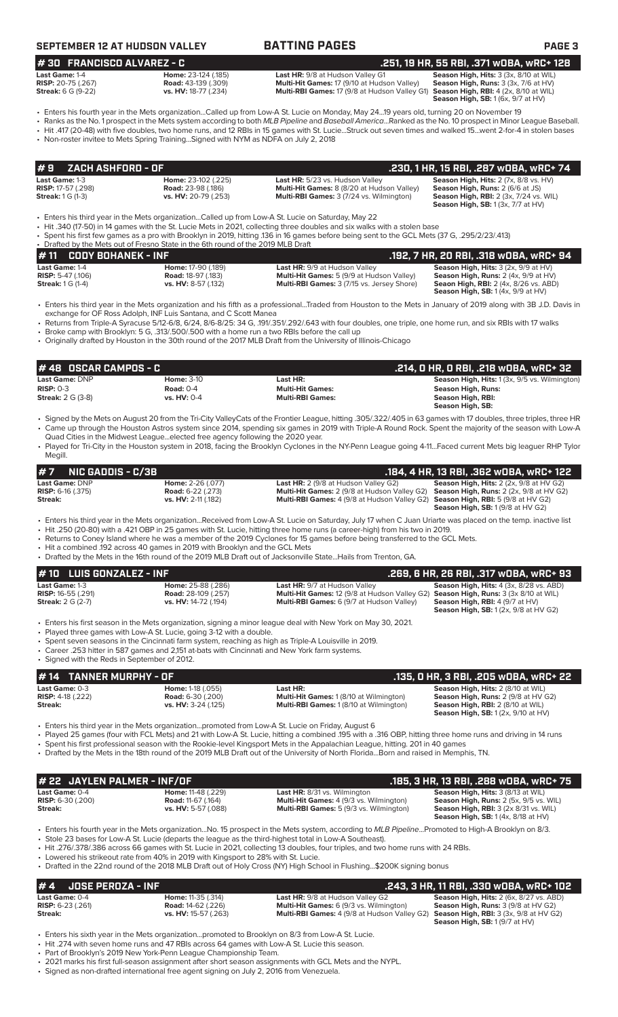| SEPTEMBER 12 AT HUDSON VALLEY |  |  |  |
|-------------------------------|--|--|--|
|-------------------------------|--|--|--|

### **SEPTEMBER 12 AT TIME PAGES PAGE 3**

**Last Game: 1-4 Home: 23-124 (.185) Last HR:** 9/8 at Hudson Valley G1 **Season High, Hits: 3 (3x, 8/10 at WIL)**<br> **RISP:** 20-75 (.267) **Road: 43-139 (.309) <b>Multi-Hit Games:** 17 (9/10 at Hudson Valley) **Season High, Runs # 30 FRANCISCO ALVAREZ - C .251, 19 HR, 55 RBI, .371 wOBA, wRC+ 128**

**RISP:** 20-75 (.267) **Road: 43-139 (.309) <b>Multi-Hit Games:** 17 (9/10 at Hudson Valley) **Road: 43-139 (.309) Multi-RBI Games: 17** (9/8 at Hudson Valley (<br>**Streak:** 6 G (9-22) **Stream High, Runs: A (234) Multi-RBI Games Multi-RBI Games:** 17 (9/8 at Hudson Valley G1)

**Season High, RBI:** 4 (2x, 8/10 at WIL)<br>**Season High, SB:** 1 (6x, 9/7 at HV)

• Enters his fourth year in the Mets organization...Called up from Low-A St. Lucie on Monday, May 24...19 years old, turning 20 on November 19 • Ranks as the No. 1 prospect in the Mets system according to both *MLB Pipeline* and *Baseball America*...Ranked as the No. 10 prospect in Minor League Baseball. • Hit .417 (20-48) with five doubles, two home runs, and 12 RBIs in 15 games with St. Lucie...Struck out seven times and walked 15...went 2-for-4 in stolen bases

• Non-roster invitee to Mets Spring Training...Signed with NYM as NDFA on July 2, 2018

|                          | 1#9    ZACH ASHFORD - OF  |                                                         |                                                                               | . 230, 1 HR, 15 RBI, .287 w0BA, wRC+ 74 ,                                                          |
|--------------------------|---------------------------|---------------------------------------------------------|-------------------------------------------------------------------------------|----------------------------------------------------------------------------------------------------|
| <b>Last Game: 1-3</b>    | <b>RISP:</b> 17-57 (.298) | <b>Home: 23-102 (.225)</b><br><b>Road: 23-98 (.186)</b> | Last HR: 5/23 vs. Hudson Valley<br>Multi-Hit Games: 8 (8/20 at Hudson Valley) | <b>Season High, Hits:</b> $2$ ( $7x$ , $8/8$ vs. $HV$ )<br><b>Season High, Runs: 2 (6/6 at JS)</b> |
| <b>Streak:</b> 1 G (1-3) |                           | vs. HV: 20-79 (.253)                                    | <b>Multi-RBI Games: 3 (7/24 vs. Wilmington)</b>                               | <b>Season High, RBI:</b> 2 (3x, 7/24 vs. WIL)                                                      |
|                          |                           |                                                         |                                                                               | <b>Season High, SB:</b> $1(3x, 7/7$ at $HV$ )                                                      |

• Enters his third year in the Mets organization...Called up from Low-A St. Lucie on Saturday, May 22

• Hit .340 (17-50) in 14 games with the St. Lucie Mets in 2021, collecting three doubles and six walks with a stolen base

• Spent his first few games as a pro with Brooklyn in 2019, hitting .136 in 16 games before being sent to the GCL Mets (37 G, .295/2/23/.413)

| $\#$ 11 $\;$ CODY BOHANEK - INF<br>.192, 7 HR, 20 RBI, .318 wOBA, wRC+ 94<br><b>Last HR: 9/9 at Hudson Valley</b><br>Home: 17-90 (.189)<br><b>Last Game: 1-4</b><br><b>Multi-Hit Games:</b> 5 (9/9 at Hudson Valley)<br><b>RISP:</b> 5-47 $(.106)$<br><b>Road: 18-97 (.183)</b> |                                                                                                                                                                                          |
|---------------------------------------------------------------------------------------------------------------------------------------------------------------------------------------------------------------------------------------------------------------------------------|------------------------------------------------------------------------------------------------------------------------------------------------------------------------------------------|
|                                                                                                                                                                                                                                                                                 |                                                                                                                                                                                          |
| <b>Multi-RBI Games: 3 (7/15 vs. Jersey Shore)</b><br><b>Streak:</b> 1 G (1-4)<br>vs. HV: 8-57 (.132)                                                                                                                                                                            | <b>Season High, Hits:</b> $3(2x, 9/9$ at $HV$ )<br>Season High, Runs: 2 (4x, 9/9 at HV)<br><b>Seaon High, RBI:</b> 2 (4x, 8/26 vs. ABD)<br><b>Season High, SB:</b> $1(4x, 9/9$ at $HV$ ) |

• Enters his third year in the Mets organization and his fifth as a professional...Traded from Houston to the Mets in January of 2019 along with 3B J.D. Davis in exchange for OF Ross Adolph, INF Luis Santana, and C Scott Manea

• Returns from Triple-A Syracuse 5/12-6/8, 6/24, 8/6-8/25: 34 G, .191/.351/.292/.643 with four doubles, one triple, one home run, and six RBIs with 17 walks • Broke camp with Brooklyn: 5 G, .313/.500/.500 with a home run a two RBIs before the call up

• Originally drafted by Houston in the 30th round of the 2017 MLB Draft from the University of Illinois-Chicago

| <i>l # 4</i> 8   OSCAR CAMPOS - C |                    |                         | .214, 0 HR, 0 RBI, .218 w0BA, wRC+ 32                                                                                                                        |
|-----------------------------------|--------------------|-------------------------|--------------------------------------------------------------------------------------------------------------------------------------------------------------|
| <b>Last Game: DNP</b>             | <b>Home: 3-10</b>  | Last HR:                | <b>Season High, Hits:</b> 1 (3x, 9/5 vs. Wilmington)                                                                                                         |
| $RISP: 0-3$                       | Road: $0-4$        | <b>Multi-Hit Games:</b> | Season High, Runs:                                                                                                                                           |
| <b>Streak:</b> $2 G (3-8)$        | <b>vs. HV: 0-4</b> | <b>Multi-RBI Games:</b> | Season High, RBI:<br>Season High, SB:                                                                                                                        |
|                                   |                    |                         | . Signed by the Mets on August 20 from the Tri-City ValleyCats of the Frontier League bitting 305/322/405 in 63 games with 17 doubles three triples three HR |

• Signed by the Mets on August 20 from the Tri-City ValleyCats of the Frontier League, hitting .305/.322/.405 in 63 games with 17 doubles, three triples, three HR • Came up through the Houston Astros system since 2014, spending six games in 2019 with Triple-A Round Rock. Spent the majority of the season with Low-A Quad Cities in the Midwest League...elected free agency following the 2020 year.

• Played for Tri-City in the Houston system in 2018, facing the Brooklyn Cyclones in the NY-Penn League going 4-11...Faced current Mets big leaguer RHP Tylor Megill.

|                          |                          | . .184, 4 HR, 13 RBI, .362 wOBA, wRC+ 122 '                                                                                                                                                                                                         |
|--------------------------|--------------------------|-----------------------------------------------------------------------------------------------------------------------------------------------------------------------------------------------------------------------------------------------------|
| <b>Home: 2-26 (.077)</b> |                          | <b>Season High, Hits:</b> $2$ ( $2x$ , $9/8$ at HV G2)                                                                                                                                                                                              |
| vs. HV: 2-11 (.182)      |                          | <b>Season High, SB:</b> $1(9/8$ at HV G2)                                                                                                                                                                                                           |
|                          | <b>Road:</b> 6-22 (.273) | <b>Last HR:</b> $2(9/8$ at Hudson Valley G2)<br><b>Multi-Hit Games:</b> 2 (9/8 at Hudson Valley G2) <b>Season High, Runs:</b> 2 (2x, 9/8 at HV G2)<br><b>Multi-RBI Games:</b> 4 (9/8 at Hudson Valley G2) <b>Season High, RBI:</b> 5 (9/8 at HV G2) |

• Enters his third year in the Mets organization...Received from Low-A St. Lucie on Saturday, July 17 when C Juan Uriarte was placed on the temp. inactive list

- Hit .250 (20-80) with a .421 OBP in 25 games with St. Lucie, hitting three home runs (a career-high) from his two in 2019. Returns to Coney Island where he was a member of the 2019 Cyclones for 15 games before being transferred to the GCL Mets.
- Hit a combined .192 across 40 games in 2019 with Brooklyn and the GCL Mets
- Drafted by the Mets in the 16th round of the 2019 MLB Draft out of Jacksonville State...Hails from Trenton, GA.

|                           | $# 10$ LUIS GONZALEZ - INF |                                                                        |                                                                                                                | . 269, 6 HR, 26 RBI, .317 wOBA, wRC+ 93'       |
|---------------------------|----------------------------|------------------------------------------------------------------------|----------------------------------------------------------------------------------------------------------------|------------------------------------------------|
| Last Game: 1-3            |                            | Home: 25-88 (.286)                                                     | <b>Last HR: 9/7 at Hudson Valley</b>                                                                           | <b>Season High, Hits: 4 (3x, 8/28 vs. ABD)</b> |
| <b>RISP:</b> 16-55 (.291) |                            | <b>Road: 28-109 (.257)</b>                                             | Multi-Hit Games: 12 (9/8 at Hudson Valley G2) Season High, Runs: 3 (3x 8/10 at WIL)                            |                                                |
| <b>Streak:</b> 2 G (2-7)  |                            | vs. HV: 14-72 (.194)                                                   | <b>Multi-RBI Games:</b> 6 (9/7 at Hudson Valley)                                                               | <b>Season High, RBI:</b> $4(9/7$ at $HV$ )     |
|                           |                            |                                                                        |                                                                                                                | <b>Season High, SB:</b> 1 (2x, 9/8 at HV G2)   |
|                           |                            |                                                                        | • Enters his first season in the Mets organization, signing a minor league deal with New York on May 30, 2021. |                                                |
|                           |                            | $\sim$ Dlayed three games with Low A St Lucie going 3.12 with a double |                                                                                                                |                                                |

• Played three games with Low-A St. Lucie, going 3-12 with a double.

• Spent seven seasons in the Cincinnati farm system, reaching as high as Triple-A Louisville in 2019. • Career .253 hitter in 587 games and 2,151 at-bats with Cincinnati and New York farm systems.

• Signed with the Reds in September of 2012.

**Last Game: 0-3 Home: 1-18 (.055) Last HR: <b>Last HR: Season High, Hits: 2 (8/10 at WIL)**<br> **RISP:** 4-18 (.222) **Road: 6-30 (.200) Multi-Hit Games: 1 (8/10 at Wilmington) Season High, Runs: 2 (9/8 at HV ( RISP:** 4-18 (.222) **Road:** 6-30 (.200) **Multi-Hit Games:** 1 (8/10 at Wilmington) **Season High, Runs:** 2 (9/8 at HV G2) **Multi-RBI Games:** 1 (8/10 at Wilmington) **Season High, RBI:** 2 (3/3 at HV C<br>**Season High, RBI:** 2 (8/10 at WIL)<br>**Season High, SB:** 1 (2x, 9/10 at HV) **# 14 TANNER MURPHY - OF .135, 0 HR, 3 RBI, .205 wOBA, wRC+ 22**

• Enters his third year in the Mets organization...promoted from Low-A St. Lucie on Friday, August 6

• Played 25 games (four with FCL Mets) and 21 with Low-A St. Lucie, hitting a combined .195 with a .316 OBP, hitting three home runs and driving in 14 runs

• Spent his first professional season with the Rookie-level Kingsport Mets in the Appalachian League, hitting. 201 in 40 games

• Drafted by the Mets in the 18th round of the 2019 MLB Draft out of the University of North Florida...Born and raised in Memphis, TN.

| # 22 JAYLEN PALMER - INF/OF  |                           |                                                | .185, 3 HR, 13 RBI, .288 wOBA, wRC+ 75        |
|------------------------------|---------------------------|------------------------------------------------|-----------------------------------------------|
| <b>Last Game: 0-4</b>        | <b>Home:</b> 11-48 (.229) | <b>Last HR:</b> 8/31 vs. Wilmington            | <b>Season High, Hits: 3 (8/13 at WIL)</b>     |
| <b>RISP:</b> $6-30$ $(.200)$ | <b>Road:</b> 11-67 (.164) | <b>Multi-Hit Games:</b> 4 (9/3 vs. Wilmington) | <b>Season High, Runs:</b> 2 (5x, 9/5 vs. WIL) |
| Streak:                      | vs. HV: 5-57 (.088)       | <b>Multi-RBI Games:</b> 5 (9/3 vs. Wilmington) | <b>Season High, RBI: 3 (2x 8/31 vs. WIL)</b>  |
|                              |                           |                                                | <b>Season High, SB:</b> 1(4x, 8/18 at HV)     |

• Enters his fourth year in the Mets organization...No. 15 prospect in the Mets system, according to *MLB Pipeline*...Promoted to High-A Brooklyn on 8/3.

• Stole 23 bases for Low-A St. Lucie (departs the league as the third-highest total in Low-A Southeast). • Hit .276/.378/.386 across 66 games with St. Lucie in 2021, collecting 13 doubles, four triples, and two home runs with 24 RBIs.

Lowered his strikeout rate from 40% in 2019 with Kingsport to 28% with St. Lucie.

• Drafted in the 22nd round of the 2018 MLB Draft out of Holy Cross (NY) High School in Flushing...\$200K signing bonus

### **# 4 JOSE PEROZA - INF**<br> **Last HR:** 9/8 at Hudson Valley G2 **.243, 3 HR, 11 RBI, .330 wOBA, wRC+ 102**<br> **RISP:** 6-23 (.261) **RISP: 6-23** (.261) **RISP: 6-23** (.261) **RISP: 6-23** (.261) **RISP: 6-23** (.261) **RISP: 6-23** (.26 **Last Game:** 0-4 **Home:** 11-35 (.314) **Last HR:** 9/8 at Hudson Valley G2 **Season High, Hits:** 2 (6x, 8/27 vs. ABD) **RISP:** 6-23 (.261) **Road:** 14-62 (.226) **Multi-Hit Games:** 6 (9/3 vs. Wilmington) **Season High, Runs:** 3 (9/8 at HV G2) **Streak: vs. HV:** 15-57 (.263) **Multi-RBI Games:** 4 (9/8 at Hudson Valley G2) **Season High, RBI:** 3 (3x, 9/8 at HV G2) **Season High, SB:** 1 (9/7 at HV)

Enters his sixth year in the Mets organization...promoted to Brooklyn on 8/3 from Low-A St. Lucie.

• Hit .274 with seven home runs and 47 RBIs across 64 games with Low-A St. Lucie this season.

Part of Brooklyn's 2019 New York-Penn League Championship Team.

• 2021 marks his first full-season assignment after short season assignments with GCL Mets and the NYPL.

• Signed as non-drafted international free agent signing on July 2, 2016 from Venezuela.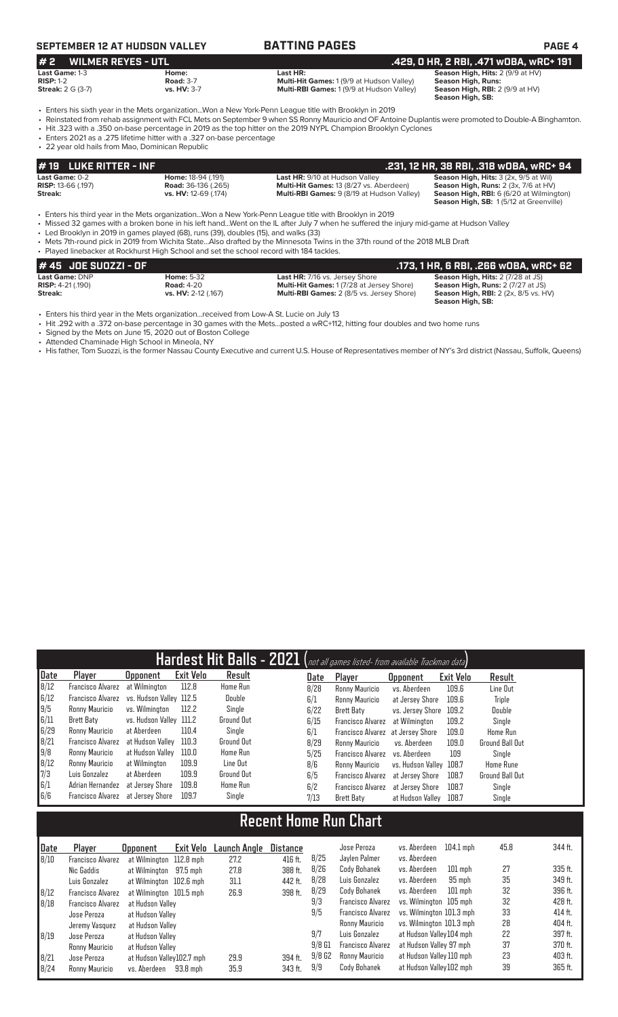## **SEPTEMBER 12 AT HUDSON VALLEY BATTING PAGES PAGE 4**

## **# 2 WILMER REYES - UTL .429, 0 HR, 2 RBI, .471 wOBA, wRC+ 191 Last Game:** 1-3 **Home: Home: Last HR: Last HR: Season High, Hits:** 2 (9/9 at HV)<br> **RISP:** 1-2 **Road:** 3-7 **Home: Multi-Hit Games:** 1 (9/9 at Hudson Valley) **Season High, Runs:**

**RISP: RISP: RISP: RISP: RISP: RISP: RISP: RISP: Property RISP: RISP: Property Streak: 2** G (3-7) **Streak: 2** G (3-7) **Streak: 2** G (3-7) **Property CONSIMITED: RISP: RISP: Property C Multi-RBI Games:** 1 (9/9 at Hudson Valley)

Season High, RBI: 2 (9/9 at HV)<br>Season High, SB:

• Enters his sixth year in the Mets organization...Won a New York-Penn League title with Brooklyn in 2019

- Reinstated from rehab assignment with FCL Mets on September 9 when SS Ronny Mauricio and OF Antoine Duplantis were promoted to Double-A Binghamton. • Hit .323 with a .350 on-base percentage in 2019 as the top hitter on the 2019 NYPL Champion Brooklyn Cyclones
- 
- Enters 2021 as a .275 lifetime hitter with a .327 on-base percentage • 22 year old hails from Mao, Dominican Republic

| $# 19$ LUKE RITTER - INF  |                            |                                                   | . 231, 12 HR, 38 RBI, .318 wOBA, wRC+ 94.              |
|---------------------------|----------------------------|---------------------------------------------------|--------------------------------------------------------|
| <b>Last Game: 0-2</b>     | <b>Home: 18-94 (.191)</b>  | Last HR: 9/10 at Hudson Valley                    | <b>Season High, Hits: 3 (2x, 9/5 at Wil)</b>           |
| <b>RISP:</b> 13-66 (.197) | <b>Road:</b> 36-136 (.265) | <b>Multi-Hit Games: 13 (8/27 vs. Aberdeen)</b>    | <b>Season High, Runs:</b> $2$ ( $3x$ , $7/6$ at $HV$ ) |
| Streak:                   | vs. HV: 12-69 (.174)       | <b>Multi-RBI Games: 9 (8/19 at Hudson Valley)</b> | <b>Season High, RBI:</b> 6 (6/20 at Wilmington)        |
|                           |                            |                                                   | Season High, SB: 1(5/12 at Greenville)                 |

• Enters his third year in the Mets organization...Won a New York-Penn League title with Brooklyn in 2019<br>• Missed 32 games with a broken bone in his left hand...Went on the IL after July 7 when he suffered the

• Missed 32 games with a broken bone in his left hand...Went on the IL after July 7 when he suffered the injury mid-game at Hudson Valley

- Led Brooklyn in 2019 in games played (68), runs (39), doubles (15), and walks (33)
- Mets 7th-round pick in 2019 from Wichita State...Also drafted by the Minnesota Twins in the 37th round of the 2018 MLB Draft • Played linebacker at Rockhurst High School and set the school record with 184 tackles.

| # 45 JOE SUOZZI - OF       |                     |                                                  | .173, 1 HR, 6 RBI, .266 wOBA, wRC+ 62       |
|----------------------------|---------------------|--------------------------------------------------|---------------------------------------------|
| Last Game: DNP             | <b>Home: 5-32</b>   | <b>Last HR: 7/16 vs. Jersey Shore</b>            | <b>Season High, Hits: 2 (7/28 at JS)</b>    |
| <b>RISP:</b> $4-21$ (.190) | <b>Road: 4-20</b>   | <b>Multi-Hit Games: 1(7/28 at Jersey Shore)</b>  | <b>Season High, Runs: 2 (7/27 at JS)</b>    |
| Streak:                    | vs. HV: 2-12 (.167) | <b>Multi-RBI Games: 2 (8/5 vs. Jersey Shore)</b> | <b>Season High, RBI:</b> 2 (2x, 8/5 vs. HV) |
|                            |                     |                                                  | Season High, SB:                            |

• Enters his third year in the Mets organization...received from Low-A St. Lucie on July 13

• Hit .292 with a .372 on-base percentage in 30 games with the Mets...posted a wRC+112, hitting four doubles and two home runs

- Signed by the Mets on June 15, 2020 out of Boston College
- Attended Chaminade High School in Mineola, NY
- His father, Tom Suozzi, is the former Nassau County Executive and current U.S. House of Representatives member of NY's 3rd district (Nassau, Suffolk, Queens)

|      | Hardest Hit Balls - 2021 (not all games listed- from available Trackman data) |                         |                  |                   |  |      |                                   |                         |           |                  |
|------|-------------------------------------------------------------------------------|-------------------------|------------------|-------------------|--|------|-----------------------------------|-------------------------|-----------|------------------|
| Date | Player                                                                        | <b>Opponent</b>         | <b>Exit Velo</b> | Result            |  | Date | Player                            | <b>Opponent</b>         | Exit Velo | Result           |
| 8/12 | <b>Francisco Alvarez</b>                                                      | at Wilmington           | 112.8            | <b>Home Run</b>   |  | 8/28 | Ronny Mauricio                    | vs. Aberdeen            | 109.6     | Line Out         |
| 6/12 | Francisco Alvarez                                                             | vs. Hudson Vallev 112.5 |                  | Double            |  | 6/1  | Ronny Mauricio                    | at Jersey Shore         | 109.6     | Triple           |
| 9/5  | Ronny Mauricio                                                                | vs. Wilmington          | 112.2            | Single            |  | 6/22 | Brett Baty                        | vs. Jersey Shore 109.2  |           | Double           |
| 6/11 | Brett Baty                                                                    | vs. Hudson Valley 111.2 |                  | Ground Out        |  | 6/15 | <b>Francisco Alvarez</b>          | at Wilmington           | 109.2     | Single           |
| 6/29 | Ronny Mauricio                                                                | at Aberdeen             | 110.4            | Single            |  | 6/1  | Francisco Alvarez at Jersey Shore |                         | 109.0     | <b>Home Run</b>  |
| 8/21 | Francisco Alvarez                                                             | at Hudson Vallev        | 110.3            | Ground Out        |  | 8/29 | Ronny Mauricio                    | vs. Aberdeen            | 109.0     | Ground Ball Out  |
| 9/8  | Ronny Mauricio                                                                | at Hudson Vallev        | 110.0            | Home Run          |  | 5/25 | <b>Francisco Alvarez</b>          | vs. Aberdeen            | 109       | Single           |
| 8/12 | Ronny Mauricio                                                                | at Wilmington           | 109.9            | Line Out          |  | 8/6  | Ronny Mauricio                    | vs. Hudson Valley 108.7 |           | <b>Home Rune</b> |
| 7/3  | Luis Gonzalez                                                                 | at Aberdeen             | 109.9            | <b>Ground Out</b> |  | 6/5  | <b>Francisco Alvarez</b>          | at Jersev Shore         | 108.7     | Ground Ball Out  |
| 6/1  | Adrian Hernandez                                                              | at Jersey Shore         | 109.8            | Home Run          |  | 6/2  | Francisco Alvarez                 | at Jersey Shore         | 108.7     | Single           |
| 6/6  | Francisco Alvarez                                                             | at Jersey Shore         | 109.7            | Single            |  | 7/13 | <b>Brett Baty</b>                 | at Hudson Valley        | 108.7     | Single           |

# **Recent Home Run Chart**

| Date | Player                   | <b>Opponent</b>           | Exit Velo | Launch Angle | Distance |          | Jose Peroza              | vs. Aberdeen             | $104.1$ mph | 45.8 | 344 ft.   |
|------|--------------------------|---------------------------|-----------|--------------|----------|----------|--------------------------|--------------------------|-------------|------|-----------|
| 8/10 | Francisco Alvarez        | at Wilmington 112.8 mph   |           | 27.2         | 416 ft.  | 8/25     | Jaylen Palmer            | vs. Aberdeen             |             |      |           |
|      | Nic Gaddis               | at Wilmington             | 97.5 moh  | 27.8         | 388 ft.  | 8/26     | Cody Bohanek             | vs. Aberdeen             | $101$ mph   | 27   | $335$ ft. |
|      | Luis Gonzalez            | at Wilmington 102.6 mph   |           | 31.1         | 442 ft.  | 8/28     | Luis Gonzalez            | vs. Aberdeen             | 95 mph      | 35   | 349 ft.   |
| 8/12 | Francisco Alvarez        | at Wilmington 101.5 mph   |           | 26.9         | 398 ft.  | 8/29     | Cody Bohanek             | vs. Aberdeen             | $101$ mph   | 32   | 396 ft.   |
| 8/18 | <b>Francisco Alvarez</b> | at Hudson Valley          |           |              |          | 9/3      | <b>Francisco Alvarez</b> | vs. Wilmington 105 mph   |             | 32   | 428 ft.   |
|      | Jose Peroza              | at Hudson Vallev          |           |              |          | 9/5      | <b>Francisco Alvarez</b> | vs. Wilmington 101.3 mph |             | 33   | 414 ft.   |
|      | Jeremy Vasquez           | at Hudson Valley          |           |              |          |          | Ronny Mauricio           | vs. Wilmington 101.3 mph |             | 28   | 404 ft.   |
| 8/19 | Jose Peroza              | at Hudson Valley          |           |              |          | 9/7      | Luis Gonzalez            | at Hudson Valley 104 mph |             | 22   | 397 ft.   |
|      | Ronny Mauricio           | at Hudson Valley          |           |              |          | $9/8$ G1 | <b>Francisco Alvarez</b> | at Hudson Valley 97 mph  |             | 37   | 370 ft.   |
| 8/21 | Jose Peroza              | at Hudson Valley102.7 mph |           | 29.9         | 394 ft.  | 9/8G2    | Ronny Mauricio           | at Hudson Valley 110 mph |             | 23   | 403 ft.   |
| 8/24 | Ronny Mauricio           | vs. Aberdeen              | 93.8 mph  | 35.9         | 343 ft.  | 9/9      | Cody Bohanek             | at Hudson Valley 102 mph |             | 39   | 365 ft.   |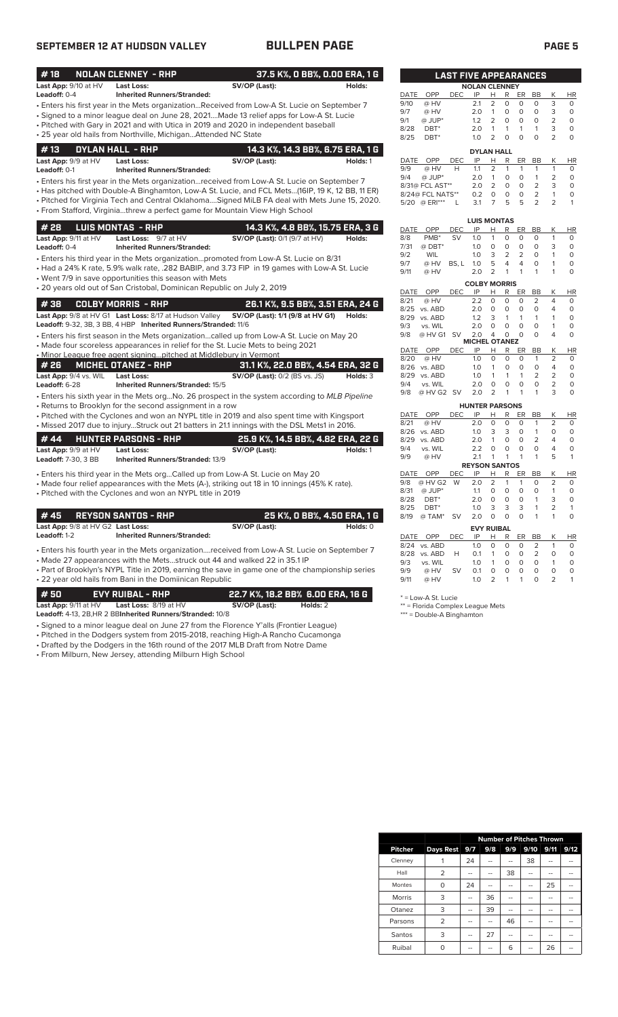## **SEPTEMBER 12 AT HUDSON VALLEY BULLPEN PAGE**

|--|--|

| #18                               | <b>NOLAN CLENNEY - RHP</b>                                                                        |                                      | 37.5 K%, O BB%, O.OO ERA, 1 G |              |                                     | <b>LAST FIVE APPEARANCES</b> |                             |                              |                          |                          |                                  |                                |                         |
|-----------------------------------|---------------------------------------------------------------------------------------------------|--------------------------------------|-------------------------------|--------------|-------------------------------------|------------------------------|-----------------------------|------------------------------|--------------------------|--------------------------|----------------------------------|--------------------------------|-------------------------|
| Last App: 9/10 at HV              | <b>Last Loss:</b>                                                                                 | SV/OP (Last):                        | Holds:                        |              |                                     |                              | <b>NOLAN CLENNEY</b>        |                              |                          |                          |                                  |                                |                         |
| Leadoff: 0-4                      | <b>Inherited Runners/Stranded:</b>                                                                |                                      |                               | DATE         | OPP                                 | DEC                          | IP                          | H                            |                          | R ER                     | <b>BB</b>                        | Κ                              | HI                      |
|                                   | Enters his first year in the Mets organizationReceived from Low-A St. Lucie on September 7 •      |                                      |                               | 9/10         | @ HV                                |                              | 2.1                         | 2                            | 0                        | 0                        | O                                | 3                              | $\circ$                 |
|                                   | • Signed to a minor league deal on June 28, 2021Made 13 relief apps for Low-A St. Lucie           |                                      |                               | 9/7          | @ HV                                |                              | 2.0                         | $\mathbf{1}$                 | $\mathsf O$              | $\mathsf O$              | $\Omega$                         | 3                              | $\Omega$                |
|                                   | • Pitched with Gary in 2021 and with Utica in 2019 and 2020 in independent baseball               |                                      |                               | 9/1          | @ JUP*                              |                              | 1.2                         | 2                            | $\circ$                  | $\circ$                  | $\circ$                          | $\overline{2}$                 | $\Omega$                |
|                                   | • 25 year old hails from Northville, MichiganAttended NC State                                    |                                      |                               | 8/28         | $DBT^*$                             |                              | 2.0                         | $\mathbf{1}$                 | $\mathbf{1}$             | $\mathbf{1}$             | 1                                | 3                              | $\Omega$                |
|                                   |                                                                                                   |                                      |                               | 8/25         | DBT <sup>*</sup>                    |                              | 1.0                         | 2                            | 0                        | 0                        | 0                                | $\overline{2}$                 | $\circ$                 |
| #13                               | DYLAN HALL - RHP                                                                                  | 14.3 K%, 14.3 BB%, 6.75 ERA, 1 G     |                               |              |                                     |                              | <b>DYLAN HALL</b>           |                              |                          |                          |                                  |                                |                         |
| Last App: 9/9 at HV               | <b>Last Loss:</b>                                                                                 | SV/OP (Last):                        | Holds: 1                      | DATE         | OPP                                 | <b>DEC</b>                   | IP                          | н                            | R                        | ER                       | BB                               | Κ                              | HI                      |
| Leadoff: 0-1                      | <b>Inherited Runners/Stranded:</b>                                                                |                                      |                               | 9/9          | @ HV                                | Н                            | 1.1                         | $\overline{2}$               | $\mathbf{1}$             | $\mathbf{1}$             | 1                                | $\mathbf{1}$                   | 0                       |
|                                   | • Enters his first year in the Mets organization…received from Low-A St. Lucie on September 7     |                                      |                               | 9/4          | $@$ JUP*                            |                              | 2.0                         | $\mathbf{1}$                 | $\circ$                  | $\circ$                  | $\mathbf{1}$                     | 2                              | $\circ$                 |
|                                   | Has pitched with Double-A Binghamton, Low-A St. Lucie, and FCL Mets(16IP, 19 K, 12 BB, 11 ER) + • |                                      |                               |              | 8/31@ FCL AST**<br>8/24@ FCL NATS** |                              | 2.0<br>0.2                  | $\overline{2}$<br>$\circ$    | $\circ$<br>$\mathbf 0$   | $\circ$<br>$\circ$       | $\overline{2}$<br>$\overline{2}$ | 3<br>$\mathbf{1}$              | 0<br>0                  |
|                                   | . Pitched for Virginia Tech and Central OklahomaSigned MiLB FA deal with Mets June 15, 2020.      |                                      |                               |              | 5/20 @ ERI***                       | L                            | 3.1                         | $\overline{7}$               | 5                        | 5                        | $\overline{2}$                   | $\overline{2}$                 | 1                       |
|                                   | • From Stafford, Virginiathrew a perfect game for Mountain View High School                       |                                      |                               |              |                                     |                              |                             |                              |                          |                          |                                  |                                |                         |
|                                   |                                                                                                   |                                      |                               |              |                                     |                              | <b>LUIS MONTAS</b>          |                              |                          |                          |                                  |                                |                         |
| # 28                              | <b>LUIS MONTAS - RHP</b>                                                                          | 14.3 K%, 4.8 BB%, 15.75 ERA, 3 G     |                               | <b>DATE</b>  | OPP                                 | <b>DEC</b>                   | IP                          | н                            | R                        | ER                       | <b>BB</b>                        | K                              | HI                      |
| Last App: 9/11 at HV              | Last Loss: 9/7 at HV                                                                              | SV/OP (Last): 0/1 (9/7 at HV)        | Holds:                        | 8/8          | $PMB^*$                             | <b>SV</b>                    | 1.0                         | $\mathbf{1}$                 | $\mathbf 0$              | 0                        | $\Omega$                         | $\mathbf{1}$                   | $\Omega$                |
| Leadoff: 0-4                      | <b>Inherited Runners/Stranded:</b>                                                                |                                      |                               | 7/31         | $@$ DBT*                            |                              | 1.0                         | $\circ$                      | 0                        | $\circ$                  | $\circ$                          | 3                              | $\circ$                 |
|                                   | • Enters his third year in the Mets organizationpromoted from Low-A St. Lucie on 8/31             |                                      |                               | 9/2          | WIL                                 |                              | 1.0                         | 3                            | $\overline{2}$           | $\overline{2}$           | $\Omega$                         | $\mathbf{1}$                   | 0                       |
|                                   | . Had a 24% K rate, 5.9% walk rate, .282 BABIP, and 3.73 FIP in 19 games with Low-A St. Lucie     |                                      |                               | 9/7          | @ HV                                | BS.L                         | 1.0                         | 5                            | 4                        | $\overline{4}$           | $\circ$                          | $\mathbf{1}$                   | $\Omega$                |
|                                   | • Went 7/9 in save opportunities this season with Mets                                            |                                      |                               | 9/11         | @ HV                                |                              | 2.0                         | $\overline{2}$               | $\mathbf{1}$             | 1                        | 1                                | 1                              | 0                       |
|                                   | • 20 years old out of San Cristobal, Dominican Republic on July 2, 2019                           |                                      |                               |              |                                     |                              | <b>COLBY MORRIS</b>         |                              |                          |                          |                                  |                                |                         |
|                                   |                                                                                                   |                                      |                               | <b>DATE</b>  | OPP<br>@ HV                         | DEC                          | IP                          | н                            | R<br>$\circ$             | <b>ER</b><br>$\circ$     | <b>BB</b><br>$\overline{2}$      | K<br>4                         | HI<br>$\Omega$          |
| #38                               | COLBY MORRIS  - RHP                                                                               | 26.1 K%, 9.5 BB%, 3.51 ERA, 24 G     |                               | 8/21<br>8/25 | vs. ABD                             |                              | 2.2<br>2.0                  | $\circ$<br>$\circ$           | $\circ$                  | $\circ$                  | $\circ$                          | $\overline{4}$                 | $\circ$                 |
|                                   | Last App: 9/8 at HV G1 Last Loss: 8/17 at Hudson Valley                                           | SV/OP (Last): 1/1 (9/8 at HV G1)     | Holds:                        | 8/29         | vs. ABD                             |                              | 1.2                         | 3                            | $\mathbf{1}$             | 1                        | $\mathbf{1}$                     | $\mathbf{1}$                   | 0                       |
|                                   | Leadoff: 9-32, 3B, 3 BB, 4 HBP Inherited Runners/Stranded: 11/6                                   |                                      |                               | 9/3          | vs. WIL                             |                              | 2.0                         | 0                            | $\mathbf 0$              | $\circ$                  | 0                                | $\mathbf{1}$                   | 0                       |
|                                   | • Enters his first season in the Mets organizationcalled up from Low-A St. Lucie on May 20        |                                      |                               | 9/8          | @ HV G1                             | <b>SV</b>                    | 2.0                         | $\overline{4}$               | $\Omega$                 | $\Omega$                 | $\Omega$                         | 4                              | $\circ$                 |
|                                   | • Made four scoreless appearances in relief for the St. Lucie Mets to being 2021                  |                                      |                               |              |                                     |                              | <b>MICHEL OTANEZ</b>        |                              |                          |                          |                                  |                                |                         |
|                                   | • Minor League free agent signingpitched at Middlebury in Vermont                                 |                                      |                               | DATE         | OPP                                 | DEC.                         | IP                          | н                            | R                        | ER.                      | BB                               | К                              | HI                      |
| # 26                              | MICHEL OTANEZ - RHP                                                                               | 31.1 K%, 22.0 BB%, 4.54 ERA, 32 G    |                               | 8/20         | @ HV                                |                              | 1.0                         | $\Omega$                     | $\mathbf 0$              | $\Omega$                 | 1<br>$\mathbf 0$                 | $\overline{2}$                 | 0                       |
| Last App: 9/4 vs. WIL             | <b>Last Loss:</b>                                                                                 | <b>SV/OP (Last):</b> 0/2 (BS vs. JS) | Holds: 3                      |              | 8/26 vs. ABD<br>8/29 vs. ABD        |                              | 1.0<br>1.0                  | $\mathbf{1}$<br>$\mathbf{1}$ | $\circ$<br>$\mathbf{1}$  | $\circ$<br>$\mathbf{1}$  | $\overline{2}$                   | 4<br>$\overline{2}$            | 0<br>$\Omega$           |
| Leadoff: 6-28                     | <b>Inherited Runners/Stranded: 15/5</b>                                                           |                                      |                               | 9/4          | vs. WIL                             |                              | 2.0                         | $\circ$                      | $\mathbf 0$              | $\circ$                  | 0                                | $\overline{2}$                 | 0                       |
|                                   |                                                                                                   |                                      |                               | 9/8          | @ HV G2 SV                          |                              | 2.0                         | $\overline{2}$               | $\mathbf{1}$             | $\mathbf{1}$             | 1                                | 3                              | O                       |
|                                   | Enters his sixth year in the Mets orgNo. 26 prospect in the system according to MLB Pipeline      |                                      |                               |              |                                     |                              |                             |                              |                          |                          |                                  |                                |                         |
|                                   | • Returns to Brooklyn for the second assignment in a row                                          |                                      |                               | DATE         | OPP                                 | <b>DEC</b>                   | <b>HUNTER PARSONS</b><br>IP | н                            | R                        | ER                       | <b>BB</b>                        | K                              | HI                      |
|                                   | • Pitched with the Cyclones and won an NYPL title in 2019 and also spent time with Kingsport      |                                      |                               | 8/21         | @ HV                                |                              | 2.0                         | $\circ$                      | $\mathbf 0$              | $\circ$                  | 1                                | $\overline{2}$                 | $\Omega$                |
|                                   | • Missed 2017 due to injuryStruck out 21 batters in 21.1 innings with the DSL Mets1 in 2016.      |                                      |                               |              | 8/26 vs. ABD                        |                              | 1.0                         | 3                            | 3                        | $\circ$                  | $\mathbf{1}$                     | $\circ$                        | 0                       |
| #44                               | <b>HUNTER PARSONS - RHP</b>                                                                       | 25.9 K%, 14.5 BB%, 4.82 ERA, 22 G    |                               | 8/29         | vs. ABD                             |                              | 2.0                         | $\mathbf{1}$                 | $\circ$                  | $\circ$                  | $\overline{2}$                   | $\overline{4}$                 | $\circ$                 |
| Last App: 9/9 at HV               | <b>Last Loss:</b>                                                                                 | SV/OP (Last):                        | Holds: 1                      | 9/4          | vs. WIL                             |                              | 2.2                         | $\circ$                      | $\circ$                  | $\circ$                  | $\Omega$                         | $\overline{4}$                 | $\Omega$                |
| Leadoff: 7-30, 3 BB               | Inherited Runners/Stranded: 13/9                                                                  |                                      |                               | 9/9          | @ HV                                |                              | 2.1                         | $\mathbf{1}$                 | $\mathbf{1}$             | $\mathbf{1}$             | $\mathbf{1}$                     | 5                              | $\mathbf{1}$            |
|                                   |                                                                                                   |                                      |                               |              |                                     |                              | <b>REYSON SANTOS</b>        |                              |                          |                          |                                  |                                |                         |
|                                   | • Enters his third year in the Mets orgCalled up from Low-A St. Lucie on May 20                   |                                      |                               | DATE         | OPP                                 | DEC                          | IP                          | н                            | R                        | ER                       | BB                               | K                              | HI                      |
|                                   | • Made four relief appearances with the Mets (A-), striking out 18 in 10 innings (45% K rate).    |                                      |                               | 9/8<br>8/31  | @ HV G2<br>$@$ JUP*                 | W                            | 2.0<br>1.1                  | $\overline{2}$<br>$\Omega$   | $\mathbf{1}$<br>$\Omega$ | $\mathbf{1}$<br>$\Omega$ | 0<br>$\Omega$                    | $\overline{2}$<br>$\mathbf{1}$ | $\mathbf 0$<br>$\Omega$ |
|                                   | • Pitched with the Cyclones and won an NYPL title in 2019                                         |                                      |                               | 8/28         | DBT*                                |                              | 2.0                         | $\circ$                      | 0                        | $\circ$                  | $\mathbf{1}$                     | 3                              | $\mathbf 0$             |
|                                   |                                                                                                   |                                      |                               | 8/25         | DBT <sup>*</sup>                    |                              | 1.0                         | 3                            | 3                        | 3                        | $\mathbf{1}$                     | $\overline{2}$                 | 1                       |
| #45                               | <b>REYSON SANTOS - RHP</b>                                                                        |                                      | 25 K%, O BB%, 4.50 ERA, 1 G   | 8/19         | @ TAM*                              | SV                           | 2.0                         | $\mathbf 0$                  | $\mathbf 0$              | $\circ$                  | $\mathbf{1}$                     | $\mathbf{1}$                   | $\circ$                 |
| Last App: 9/8 at HV G2 Last Loss: |                                                                                                   | SV/OP (Last):                        | Holds: 0                      |              |                                     |                              | <b>EVY RUIBAL</b>           |                              |                          |                          |                                  |                                |                         |
| Leadoff: 1-2                      | <b>Inherited Runners/Stranded:</b>                                                                |                                      |                               |              | DATE OPP                            | <b>DEC</b>                   | IP                          | H.                           |                          | R ER BB                  |                                  | K                              | HI                      |
|                                   |                                                                                                   |                                      |                               |              | $Q/2A$ $ve$ $ABD$                   |                              | $1 \cap$                    | $\cap$                       | $\cap$                   | $\cap$                   | $\mathcal{D}$                    |                                |                         |

• Enters his fourth year in the Mets organization....received from Low-A St. Lucie on September 7 • Made 27 appearances with the Mets...struck out 44 and walked 22 in 35.1 IP

• Part of Brooklyn's NYPL Title in 2019, earning the save in game one of the championship series • 22 year old hails from Bani in the Domiinican Republic

**# 50 EVY RUIBAL - RHP 22.7 K%, 18.2 BB% 6.00 ERA, 16 G Last App:** 9/11 at HV **Last Loss:** 8/19 at HV **SV/OP (Last): Holds:** 2

**Leadoff:** 4-13, 2B,HR 2 BB**Inherited Runners/Stranded:** 10/8

- Signed to a minor league deal on June 27 from the Florence Y'alls (Frontier League)
- Pitched in the Dodgers system from 2015-2018, reaching High-A Rancho Cucamonga
- Drafted by the Dodgers in the 16th round of the 2017 MLB Draft from Notre Dame • From Milburn, New Jersey, attending Milburn High School

|      |                  | <b>LAST FIVE APPEARANCES</b> |                      |                |          |          |           |                |           |
|------|------------------|------------------------------|----------------------|----------------|----------|----------|-----------|----------------|-----------|
|      |                  |                              | <b>NOLAN CLENNEY</b> |                |          |          |           |                |           |
| DATE | OPP              | DEC                          | IP                   | н              | R        | ER       | <b>BB</b> | К              | <b>HR</b> |
| 9/10 | @ HV             |                              | 2.1                  | $\mathcal{P}$  | $\Omega$ | O        | O         | 3              | O         |
| 9/7  | @ HV             |                              | 2.0                  | 1              | $\Omega$ | $\Omega$ | $\Omega$  | 3              | O         |
| 9/1  | @ JUP*           |                              | 1.2                  | $\mathcal{P}$  | $\Omega$ | O        | $\Omega$  | $\overline{2}$ | O         |
| 8/28 | DBT <sup>*</sup> |                              | 2.0                  | 1              | 1        | 1        | 1         | 3              | O         |
| 8/25 | DBT <sup>*</sup> |                              | 1.0                  | $\mathcal{P}$  | O        | O        | O         | $\overline{2}$ | $\Omega$  |
|      |                  |                              | <b>DYLAN HALL</b>    |                |          |          |           |                |           |
| DATE | OPP              | DEC                          | IP                   | Н              | R        | ER       | <b>BB</b> | K              | <b>HR</b> |
| 9/9  | @ HV             | Н                            | 11                   | $\overline{2}$ | 1        | 1        | 1         | 1              | $\Omega$  |
| 9/4  | $@$ JUP*         |                              | 2.0                  | 1              | O        | ∩        | 1         | $\overline{2}$ | ∩         |

|     | $\omega$ iv      | . .                |               |   |          |               |               |   |
|-----|------------------|--------------------|---------------|---|----------|---------------|---------------|---|
| 9/4 | $@$ JUP*         | 2 O                |               | O | $\Omega$ |               |               |   |
|     | 8/31@ FCL AST**  | 2 O                | $\mathcal{L}$ | O | $\Omega$ | $\mathcal{P}$ | ∍             | Ω |
|     | 8/24@ FCL NATS** | 02                 | O             | O | O        | $\mathcal{P}$ |               | Ω |
|     | 5/20 @ ERI***    | 31                 | 7             | 5 | 5        | $\mathcal{L}$ | $\mathcal{L}$ |   |
|     |                  |                    |               |   |          |               |               |   |
|     |                  | <b>LUIS MONTAS</b> |               |   |          |               |               |   |
|     |                  |                    |               |   |          |               | $\cdots$      |   |

| DATE     | OPP                      | DEC   | IP                   | н              | R        | ER       | BB             | Κ                 | ΗR        |
|----------|--------------------------|-------|----------------------|----------------|----------|----------|----------------|-------------------|-----------|
| 8/8      | $PMB^*$                  | SV    | 1.0                  | 1              | 0        | O        | O              | 1                 | 0         |
| 7/31     | $@$ DBT*                 |       | 1.0                  | 0              | 0        | 0        | O              | 3                 | 0         |
| 9/2      | <b>WIL</b>               |       | 1.0                  | 3              | 2        | 2        | 0              | 1                 | 0         |
| 9/7      | @ HV                     | BS. L | 1.0                  | 5              | 4        | 4        | O              |                   | 0         |
| 9/11     | @ HV                     |       | 2.0                  | 2              | 1        |          | 1              |                   | 0         |
|          |                          |       | <b>COLBY MORRIS</b>  |                |          |          |                |                   |           |
| DATE     | OPP                      | DEC   | IP                   | н              | R        | ER       | BB             | Κ                 | ΗR        |
| 8/21     | @ HV                     |       | 2.2                  | $\Omega$       | 0        | O        | 2              | 4                 | 0         |
| 8/25     | vs. ABD                  |       | 2.0                  | $\Omega$       | 0        | 0        | O              | 4                 | 0         |
| 8/29     | vs. ABD                  |       | 1.2                  | 3              | 1        | 1        | 1              | 1                 | 0         |
| 9/3      | vs. WIL                  |       | 2.0                  | O              | $\Omega$ | O        | O              | 1                 | 0         |
| 9/8      | @ HV G1                  | SV    | 2.0                  | 4              | $\Omega$ | O        | O              | 4                 | 0         |
|          |                          |       | <b>MICHEL OTANEZ</b> |                |          |          |                |                   |           |
| DATE     | OPP                      | DEC   | IP                   | Н              | R        | ER       | BB             | Κ                 | ΗR        |
| 8/20     | @ HV                     |       | 1.0                  | O              | $\Omega$ | 0        | 1              | $\overline{2}$    | 0         |
| 8/26     | vs. ABD                  |       | 1.0                  | 1              | 0        | 0        | 0              | 4                 | 0         |
| 8/29     | vs. ABD                  |       | 1.0                  | 1              | 1        | 1        | $\overline{2}$ | $\overline{2}$    | 0         |
| 9/4      | vs. WIL                  |       | 2.0                  | O              | O        | $\Omega$ | 0              | $\overline{2}$    | 0         |
| $\Omega$ | $\approx$ LN $\prime$ C2 | C11   | $\Omega$             | $\overline{ }$ | 1        | 4        | 4              | $\mathbf{\Omega}$ | $\bigcap$ |

| OPP              | <b>DEC</b>                                | IP  | н              | R | ER                | BB                                            | Κ              | ΗR       |
|------------------|-------------------------------------------|-----|----------------|---|-------------------|-----------------------------------------------|----------------|----------|
| @ HV             |                                           | 2.0 | $\Omega$       | 0 | $\Omega$          | 1                                             | 2              | 0        |
| vs. ABD          |                                           | 1.0 | 3              | 3 | 0                 | 1                                             | $\Omega$       | 0        |
| vs. ABD          |                                           | 2.0 | 1              | 0 | O                 | 2                                             | 4              | 0        |
| vs. WIL          |                                           | 2.2 | 0              | 0 | 0                 | O                                             | 4              | 0        |
| @ HV             |                                           | 2.1 | 1              | 1 | 1                 | 1                                             | 5              | 1        |
|                  |                                           |     |                |   |                   |                                               |                |          |
| OPP              | <b>DEC</b>                                | IP  | н              | R | ER                | <b>BB</b>                                     | Κ              | ΗR       |
| @ HV G2          | W                                         | 2.0 | $\overline{2}$ | 1 | 1                 | O                                             | $\overline{2}$ | 0        |
| @ JUP*           |                                           | 1.1 | $\Omega$       | 0 | O                 | 0                                             | 1              | 0        |
| DBT <sup>*</sup> |                                           | 2.0 | 0              | 0 | 0                 | 1                                             | 3              | 0        |
| DBT*             |                                           | 1.0 | 3              | 3 | 3                 | 1                                             | $\overline{2}$ | 1        |
| @ TAM*           | SV                                        | 2.0 | 0              | 0 | O                 | 1                                             | 1              | 0        |
|                  |                                           |     |                |   |                   |                                               |                |          |
| OPP              | <b>DEC</b>                                | IP  | н              | R | ER                | BB                                            | Κ              | HR       |
| vs. ABD          |                                           | 1.0 | $\Omega$       | 0 | 0                 | $\overline{2}$                                | 1              | 0        |
| vs. ABD          | н                                         | 0.1 | 1              | 0 | 0                 | $\overline{2}$                                | 0              | 0        |
| vs. WIL          |                                           | 1.0 | 1              | O | O                 | O                                             | 1              | $\Omega$ |
| @ HV             | SV                                        | 0.1 | 0              | 0 | 0                 | O                                             | O              | 0        |
| @ HV             |                                           | 1.0 | $\overline{2}$ | 1 | 1                 | $\Omega$                                      | $\overline{2}$ | 1        |
|                  | <b>DATE</b><br><b>DATE</b><br><b>DATE</b> |     |                |   | <b>EVY RUIBAL</b> | <b>HUNTER PARSONS</b><br><b>REYSON SANTOS</b> |                |          |

\* = Low-A St. Lucie

\*\* = Florida Complex League Mets

\*\*\* = Double-A Binghamton

|                |                |     | <b>Number of Pitches Thrown</b> |     |      |      |      |
|----------------|----------------|-----|---------------------------------|-----|------|------|------|
| <b>Pitcher</b> | Days Rest      | 9/7 | 9/8                             | 9/9 | 9/10 | 9/11 | 9/12 |
| Clenney        |                | 24  |                                 |     | 38   |      |      |
| Hall           | 2              | --  |                                 | 38  |      |      | --   |
| <b>Montes</b>  | $\Omega$       | 24  |                                 | --  |      | 25   |      |
| <b>Morris</b>  | 3              | --  | 36                              | --  |      | --   |      |
| Otanez         | 3              |     | 39                              |     |      |      |      |
| Parsons        | $\overline{2}$ |     |                                 | 46  |      |      |      |
| Santos         | 3              | --  | 27                              |     |      |      |      |
| Ruibal         | O              |     |                                 | 6   |      | 26   |      |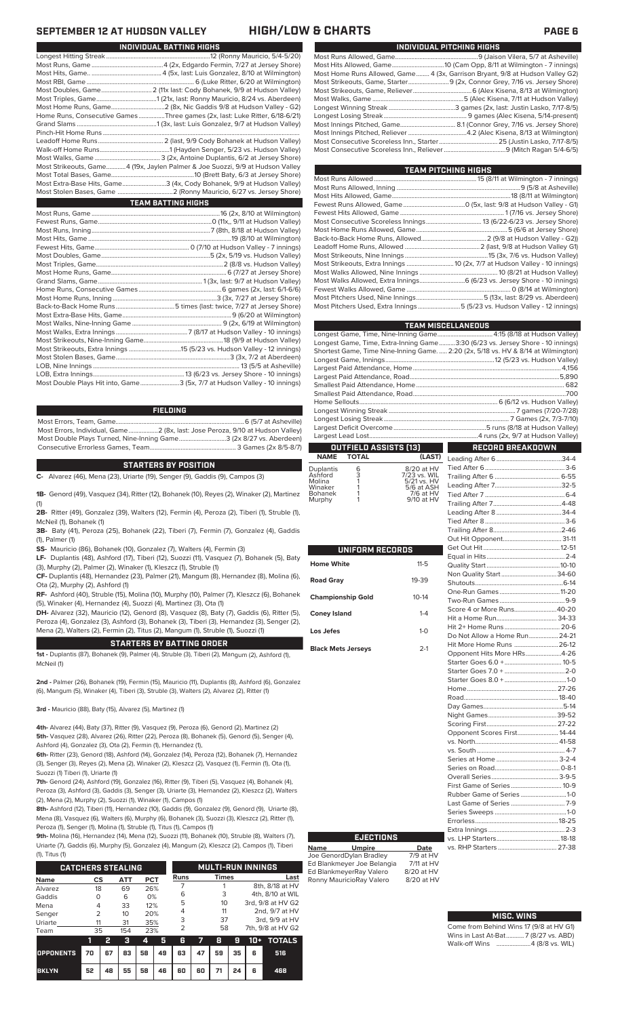| INDIVIDUAL PITCHING HIGHS                                                     |  |
|-------------------------------------------------------------------------------|--|
|                                                                               |  |
|                                                                               |  |
| Most Home Runs Allowed, Game 4 (3x, Garrison Bryant, 9/8 at Hudson Valley G2) |  |
|                                                                               |  |
|                                                                               |  |
|                                                                               |  |
|                                                                               |  |
|                                                                               |  |
|                                                                               |  |
|                                                                               |  |
|                                                                               |  |
|                                                                               |  |
|                                                                               |  |

| TEAM PITCHING HIGHS                                                       |
|---------------------------------------------------------------------------|
|                                                                           |
|                                                                           |
|                                                                           |
|                                                                           |
|                                                                           |
|                                                                           |
|                                                                           |
|                                                                           |
|                                                                           |
|                                                                           |
|                                                                           |
|                                                                           |
|                                                                           |
|                                                                           |
|                                                                           |
| Most Pitchers Used, Extra Innings 5 (5/23 vs. Hudson Valley - 12 innings) |
|                                                                           |

|                                        | <b>TEAM MISCELLANEOUS</b>                                                          |
|----------------------------------------|------------------------------------------------------------------------------------|
|                                        |                                                                                    |
|                                        | Longest Game, Time, Extra-Inning Game3:30 (6/23 vs. Jersey Shore - 10 innings)     |
|                                        | Shortest Game, Time Nine-Inning Game.  2:20 (2x, 5/18 vs. HV & 8/14 at Wilmington) |
|                                        |                                                                                    |
|                                        |                                                                                    |
|                                        |                                                                                    |
|                                        |                                                                                    |
|                                        |                                                                                    |
|                                        |                                                                                    |
|                                        |                                                                                    |
|                                        |                                                                                    |
|                                        |                                                                                    |
|                                        |                                                                                    |
| <u>tan sa</u><br>OUTFIELD ASSISTS [13] | RECORD BREAKDOWN                                                                   |

|            | OUTFIELD ASSISTS [13]                     |
|------------|-------------------------------------------|
| NAME TOTAL | (LAST)                                    |
|            | $\sim$ $\sim$ $\sim$ $\sim$ $\sim$ $\sim$ |

| <b>Duplantis</b> | 6 | 8/20 at HV   |
|------------------|---|--------------|
| Ashford          | 3 | 7/23 vs. WIL |
| Molina           |   | 5/21 vs. HV  |
| Winaker          |   | 5/6 at ASH   |
| <b>Bohanek</b>   |   | 7/6 at HV    |
| Murphy           |   | 9/10 at HV   |

| <b>UNIFORM RECORDS</b>    |              |  |
|---------------------------|--------------|--|
| Home White                | $11 - 5$     |  |
| Road Gray                 | 19-39        |  |
| <b>Championship Gold</b>  | $10 - 14$    |  |
| <b>Coney Island</b>       | $1 - 4$      |  |
| Los Jefes                 | $1 - \Omega$ |  |
| <b>Black Mets Jerseys</b> | $2-1$        |  |

| HV<br><b>NIL</b><br>HV<br>SΗ<br>H١<br>HV<br>Score 4 or More Runs40-20<br>Do Not Allow a Home Run 24-21<br>Hit More Home Runs  26-12<br>Opponent Hits More HRs4-26<br>Opponent Scores First 14-44 |  |
|--------------------------------------------------------------------------------------------------------------------------------------------------------------------------------------------------|--|
|                                                                                                                                                                                                  |  |
|                                                                                                                                                                                                  |  |
|                                                                                                                                                                                                  |  |
|                                                                                                                                                                                                  |  |
|                                                                                                                                                                                                  |  |
|                                                                                                                                                                                                  |  |
|                                                                                                                                                                                                  |  |
|                                                                                                                                                                                                  |  |
|                                                                                                                                                                                                  |  |
|                                                                                                                                                                                                  |  |
|                                                                                                                                                                                                  |  |
|                                                                                                                                                                                                  |  |
|                                                                                                                                                                                                  |  |
|                                                                                                                                                                                                  |  |
|                                                                                                                                                                                                  |  |
|                                                                                                                                                                                                  |  |
|                                                                                                                                                                                                  |  |
|                                                                                                                                                                                                  |  |
|                                                                                                                                                                                                  |  |
|                                                                                                                                                                                                  |  |
|                                                                                                                                                                                                  |  |
|                                                                                                                                                                                                  |  |
|                                                                                                                                                                                                  |  |
|                                                                                                                                                                                                  |  |
|                                                                                                                                                                                                  |  |
|                                                                                                                                                                                                  |  |
|                                                                                                                                                                                                  |  |
|                                                                                                                                                                                                  |  |
|                                                                                                                                                                                                  |  |
|                                                                                                                                                                                                  |  |
|                                                                                                                                                                                                  |  |
|                                                                                                                                                                                                  |  |
|                                                                                                                                                                                                  |  |
|                                                                                                                                                                                                  |  |
|                                                                                                                                                                                                  |  |
|                                                                                                                                                                                                  |  |
| First Game of Series 10-9                                                                                                                                                                        |  |
| Rubber Game of Series 1-0                                                                                                                                                                        |  |
|                                                                                                                                                                                                  |  |
|                                                                                                                                                                                                  |  |
|                                                                                                                                                                                                  |  |
|                                                                                                                                                                                                  |  |
|                                                                                                                                                                                                  |  |
| e                                                                                                                                                                                                |  |

### **MISC. WINS**

| Come from Behind Wins 17 (9/8 at HV G1) |
|-----------------------------------------|
| Wins in Last At-Bat7 (8/27 vs. ABD)     |
| Walk-off Wins  4 (8/8 vs. WIL)          |

## **SEPTEMBER 12 AT HUDSON VALLEY HIGH/LOW & CHARTS PAGE 6**

| <b>INDIVIDUAL BATTING HIGHS</b>                                               |
|-------------------------------------------------------------------------------|
|                                                                               |
|                                                                               |
|                                                                               |
|                                                                               |
|                                                                               |
|                                                                               |
|                                                                               |
| Home Runs, Consecutive Games Three games (2x, last: Luke Ritter, 6/18-6/21)   |
|                                                                               |
|                                                                               |
|                                                                               |
|                                                                               |
|                                                                               |
| Most Strikeouts, Game4 (19x, Jaylen Palmer & Joe Suozzi, 9/9 at Hudson Valley |
|                                                                               |
| Most Extra-Base Hits, Game3 (4x, Cody Bohanek, 9/9 at Hudson Valley)          |
|                                                                               |
| <b>TEAM BATTING HIGHS</b>                                                     |
|                                                                               |
|                                                                               |
|                                                                               |
|                                                                               |
|                                                                               |
|                                                                               |
|                                                                               |
|                                                                               |
|                                                                               |
|                                                                               |
|                                                                               |
|                                                                               |
|                                                                               |
|                                                                               |
|                                                                               |
|                                                                               |
|                                                                               |
|                                                                               |
|                                                                               |

### **FIELDING**

Most Double Plays Hit into, Game........................3 (5x, 7/7 at Hudson Valley - 10 innings)

Most Errors, Team, Game...............................................................................6 (5/7 at Asheville) Most Errors, Individual, Game..................2 (8x, last: Jose Peroza, 9/10 at Hudson Valley) Most Double Plays Turned, Nine-Inning Game.............................3 (2x 8/27 vs. Aberdeen) Consecutive Errorless Games, Team...

LOB, Extra Innings........................................................13 (6/23 vs. Jersey Shore - 10 innings)

#### **STARTERS BY POSITION**

**C-** Alvarez (46), Mena (23), Uriarte (19), Senger (9), Gaddis (9), Campos (3)

**1B-** Genord (49), Vasquez (34), Ritter (12), Bohanek (10), Reyes (2), Winaker (2), Martinez (1)

**2B-** Ritter (49), Gonzalez (39), Walters (12), Fermin (4), Peroza (2), Tiberi (1), Struble (1), McNeil (1), Bohanek (1)

**3B-** Baty (41), Peroza (25), Bohanek (22), Tiberi (7), Fermin (7), Gonzalez (4), Gaddis (1), Palmer (1)

**SS-** Mauricio (86), Bohanek (10), Gonzalez (7), Walters (4), Fermin (3)

**LF-** Duplantis (48), Ashford (17), Tiberi (12), Suozzi (11), Vasquez (7), Bohanek (5), Baty (3), Murphy (2), Palmer (2), Winaker (1), Kleszcz (1), Struble (1)

**CF-** Duplantis (48), Hernandez (23), Palmer (21), Mangum (8), Hernandez (8), Molina (6), Ota (2), Murphy (2), Ashford (1)

**RF-** Ashford (40), Struble (15), Molina (10), Murphy (10), Palmer (7), Kleszcz (6), Bohanek (5), Winaker (4), Hernandez (4), Suozzi (4), Martinez (3), Ota (1)

**DH-** Alvarez (32), Mauricio (12), Genord (8), Vasquez (8), Baty (7), Gaddis (6), Ritter (5), Peroza (4), Gonzalez (3), Ashford (3), Bohanek (3), Tiberi (3), Hernandez (3), Senger (2), Mena (2), Walters (2), Fermin (2), Titus (2), Mangum (1), Struble (1), Suozzi (1)

### **STARTERS BY BATTING ORDER**

**1st -** Duplantis (87), Bohanek (9), Palmer (4), Struble (3), Tiberi (2), Mangum (2), Ashford (1), McNeil (1)

**2nd -** Palmer (26), Bohanek (19), Fermin (15), Mauricio (11), Duplantis (8), Ashford (6), Gonzalez (6), Mangum (5), Winaker (4), Tiberi (3), Struble (3), Walters (2), Alvarez (2), Ritter (1)

**3rd -** Mauricio (88), Baty (15), Alvarez (5), Martinez (1)

**4th-** Alvarez (44), Baty (37), Ritter (9), Vasquez (9), Peroza (6), Genord (2), Martinez (2) **5th-** Vasquez (28), Alvarez (26), Ritter (22), Peroza (8), Bohanek (5), Genord (5), Senger (4), Ashford (4), Gonzalez (3), Ota (2), Fermin (1), Hernandez (1),

**6th-** Ritter (23), Genord (18), Ashford (14), Gonzalez (14), Peroza (12), Bohanek (7), Hernandez (3), Senger (3), Reyes (2), Mena (2), Winaker (2), Kleszcz (2), Vasquez (1), Fermin (1), Ota (1), Suozzi (1) Tiberi (1), Uriarte (1)

**7th-** Genord (24), Ashford (19), Gonzalez (16), Ritter (9), Tiberi (5), Vasquez (4), Bohanek (4), Peroza (3), Ashford (3), Gaddis (3), Senger (3), Uriarte (3), Hernandez (2), Kleszcz (2), Walters (2), Mena (2), Murphy (2), Suozzi (1), Winaker (1), Campos (1)

**8th-** Ashford (12), Tiberi (11), Hernandez (10), Gaddis (9), Gonzalez (9), Genord (9), Uriarte (8), Mena (8), Vasquez (6), Walters (6), Murphy (6), Bohanek (3), Suozzi (3), Kleszcz (2), Ritter (1), Peroza (1), Senger (1), Molina (1), Struble (1), Titus (1), Campos (1)

**9th-** Molina (16), Hernandez (14), Mena (12), Suozzi (11), Bohanek (10), Struble (8), Walters (7), Uriarte (7), Gaddis (6), Murphy (5), Gonzalez (4), Mangum (2), Kleszcz (2), Campos (1), Tiberi (1), Titus (1)

| <b>CATCHERS STEALING</b> |                |    |            |            |          |                |    | <b>MULTI-RUN INNINGS</b> |    |                |                   |
|--------------------------|----------------|----|------------|------------|----------|----------------|----|--------------------------|----|----------------|-------------------|
| <b>Name</b>              | CS             |    | <b>ATT</b> | <b>PCT</b> |          | Runs           |    | <b>Times</b>             |    |                | Last              |
| Alvarez                  | 18             |    | 69         | 26%        |          |                |    |                          |    |                | 8th, 8/18 at HV   |
| Gaddis                   | $\Omega$       |    | 6          | 0%         |          | 6              |    | 3                        |    |                | 4th, 8/10 at WIL  |
| Mena                     | 4              |    | 33         | 12%        |          | 5              |    | 10                       |    |                | 3rd, 9/8 at HV G2 |
| Senger                   | $\overline{2}$ |    | 10         |            | 4<br>20% |                |    | 11                       |    |                | 2nd, 9/7 at HV    |
| Uriarte                  | 11             |    | 35%<br>31  |            |          | 3              |    | 37                       |    | 3rd, 9/9 at HV |                   |
| Team                     | 35             |    | 154        | 23%        |          | $\overline{2}$ |    | 58                       |    |                | 7th, 9/8 at HV G2 |
|                          | 1              | 2  | з          | 4          | 5        | 6              | 7  | 8                        | 9  | $10+$          | <b>TOTALS</b>     |
| <b>OPPONENTS</b>         | 70             | 67 | 83         | 58         | 49       | 63             | 47 | 59                       | 35 | 6              | 516               |
| <b>BKLYN</b>             | 52             | 48 | 55         | 58         | 46       | 60             | 60 | 71                       | 24 | 6              | 468               |

| <b>FIFOTIONS</b> |  |
|------------------|--|

#### **Name Umpire Date** Joe GenordDylan Bradley 7/9 at HV Ed Blankmeyer Joe Belangia 7/11 at HV Ed BlankmeyerRay Valero 8/20 at HV<br>Ronny MauricioRay Valero 8/20 at HV Ronny MauricioRay Valero **EJECTIONS**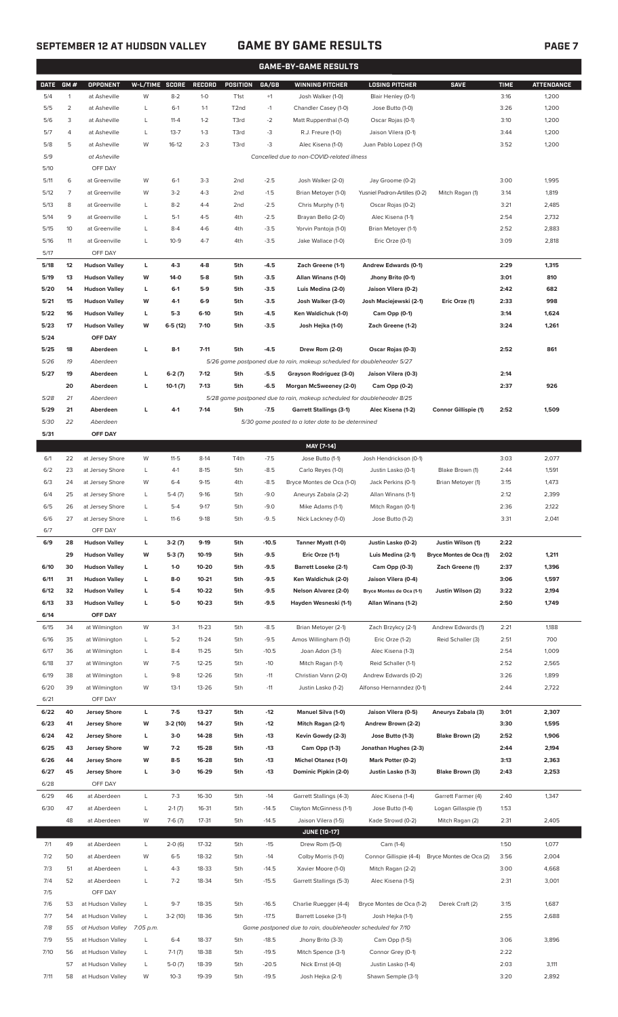## **SEPTEMBER 12 AT HUDSON VALLEY GAME BY GAME RESULTS PAGE 7**

|             | <b>GAME-BY-GAME RESULTS</b> |                      |           |              |           |                   |         |                                                                         |                               |                             |             |                   |
|-------------|-----------------------------|----------------------|-----------|--------------|-----------|-------------------|---------|-------------------------------------------------------------------------|-------------------------------|-----------------------------|-------------|-------------------|
| <b>DATE</b> | GM#                         | OPPONENT             | W-L/TIME  | <b>SCORE</b> | RECORD    | POSITION          | GA/GB   | <b>WINNING PITCHER</b>                                                  | <b>LOSING PITCHER</b>         | <b>SAVE</b>                 | <b>TIME</b> | <b>ATTENDANCE</b> |
| 5/4         | $\mathbf{1}$                | at Asheville         | W         | $8 - 2$      | $1 - 0$   | T <sub>1st</sub>  | $+1$    | Josh Walker (1-0)                                                       | Blair Henley (0-1)            |                             | 3:16        | 1,200             |
| 5/5         | $\overline{c}$              | at Asheville         | L         | $6-1$        | $1 - 1$   | T <sub>2</sub> nd | $-1$    | Chandler Casey (1-0)                                                    | Jose Butto (1-0)              |                             | 3:26        | 1,200             |
| 5/6         | 3                           | at Asheville         | L         | $11 - 4$     | $1 - 2$   | T3rd              | $-2$    | Matt Ruppenthal (1-0)                                                   | Oscar Rojas (0-1)             |                             | 3:10        | 1,200             |
| 5/7         | 4                           | at Asheville         | L         | $13 - 7$     | $1-3$     | T3rd              | $-3$    | R.J. Freure (1-0)                                                       | Jaison Vilera (0-1)           |                             | 3:44        | 1,200             |
| 5/8         | 5                           | at Asheville         | W         | $16-12$      | $2 - 3$   | T3rd              | $-3$    | Alec Kisena (1-0)                                                       | Juan Pablo Lopez (1-0)        |                             | 3:52        | 1,200             |
| 5/9         |                             | at Asheville         |           |              |           |                   |         | Cancelled due to non-COVID-related illness                              |                               |                             |             |                   |
| 5/10        |                             | OFF DAY              |           |              |           |                   |         |                                                                         |                               |                             |             |                   |
| 5/11        | 6                           | at Greenville        | W         | $6-1$        | $3-3$     | 2 <sub>nd</sub>   | $-2.5$  | Josh Walker (2-0)                                                       | Jay Groome (0-2)              |                             | 3:00        | 1,995             |
| 5/12        | 7                           | at Greenville        | W         | $3 - 2$      | $4 - 3$   | 2nd               | $-1.5$  | Brian Metoyer (1-0)                                                     | Yusniel Padron-Artilles (0-2) | Mitch Ragan (1)             | 3:14        | 1,819             |
|             |                             |                      |           |              |           |                   |         |                                                                         |                               |                             |             |                   |
| 5/13        | 8                           | at Greenville        | L         | $8 - 2$      | $4 - 4$   | 2 <sub>nd</sub>   | $-2.5$  | Chris Murphy (1-1)                                                      | Oscar Rojas (0-2)             |                             | 3:21        | 2,485             |
| 5/14        | 9                           | at Greenville        | L         | $5-1$        | $4 - 5$   | 4th               | $-2.5$  | Brayan Bello (2-0)                                                      | Alec Kisena (1-1)             |                             | 2:54        | 2,732             |
| 5/15        | 10                          | at Greenville        | L         | $8 - 4$      | $4 - 6$   | 4th               | $-3.5$  | Yorvin Pantoja (1-0)                                                    | Brian Metoyer (1-1)           |                             | 2:52        | 2,883             |
| 5/16        | 11                          | at Greenville        | L         | $10-9$       | $4 - 7$   | 4th               | $-3.5$  | Jake Wallace (1-0)                                                      | Eric Orze (0-1)               |                             | 3:09        | 2,818             |
| 5/17        |                             | OFF DAY              |           |              |           |                   |         |                                                                         |                               |                             |             |                   |
| 5/18        | 12                          | <b>Hudson Valley</b> | L         | $4 - 3$      | $4 - 8$   | 5th               | $-4.5$  | Zach Greene (1-1)                                                       | <b>Andrew Edwards (0-1)</b>   |                             | 2:29        | 1,315             |
| 5/19        | 13                          | <b>Hudson Valley</b> | W         | 14-0         | $5-8$     | 5th               | $-3.5$  | Allan Winans (1-0)                                                      | Jhony Brito (0-1)             |                             | 3:01        | 810               |
| 5/20        | 14                          | <b>Hudson Valley</b> | L         | $6-1$        | $5-9$     | 5th               | $-3.5$  | Luis Medina (2-0)                                                       | Jaison Vilera (0-2)           |                             | 2:42        | 682               |
| 5/21        | 15                          | <b>Hudson Valley</b> | W         | $4-1$        | $6-9$     | 5th               | $-3.5$  | Josh Walker (3-0)                                                       | Josh Maciejewski (2-1)        | Eric Orze (1)               | 2:33        | 998               |
| 5/22        | 16                          | <b>Hudson Valley</b> | L         | $5-3$        | $6-10$    | 5th               | $-4.5$  | Ken Waldichuk (1-0)                                                     | Cam Opp (0-1)                 |                             | 3:14        | 1,624             |
| 5/23        | 17                          | <b>Hudson Valley</b> | W         | $6-5(12)$    | $7-10$    | 5th               | $-3.5$  | Josh Hejka (1-0)                                                        | Zach Greene (1-2)             |                             | 3:24        | 1,261             |
| 5/24        |                             | OFF DAY              |           |              |           |                   |         |                                                                         |                               |                             |             |                   |
| 5/25        | 18                          | Aberdeen             | L         | $8-1$        | $7 - 11$  | 5th               | $-4.5$  | Drew Rom (2-0)                                                          | Oscar Rojas (0-3)             |                             | 2:52        | 861               |
| 5/26        | 19                          | Aberdeen             |           |              |           |                   |         | 5/26 game postponed due to rain, makeup scheduled for doubleheader 5/27 |                               |                             |             |                   |
| 5/27        | 19                          | Aberdeen             | г         | $6-2(7)$     | $7-12$    | 5th               | $-5.5$  | Grayson Rodriguez (3-0)                                                 | Jaison Vilera (0-3)           |                             | 2:14        |                   |
|             | 20                          | Aberdeen             | L         | $10-1(7)$    | $7-13$    | 5th               | $-6.5$  | Morgan McSweeney (2-0)                                                  | Cam Opp (0-2)                 |                             | 2:37        | 926               |
| 5/28        | 21                          | Aberdeen             |           |              |           |                   |         | 5/28 game postponed due to rain, makeup scheduled for doubleheader 8/25 |                               |                             |             |                   |
| 5/29        | 21                          | Aberdeen             | L         | $4-1$        | $7-14$    | 5th               | $-7.5$  | <b>Garrett Stallings (3-1)</b>                                          | Alec Kisena (1-2)             | <b>Connor Gillispie (1)</b> | 2:52        | 1,509             |
| 5/30        | 22                          | Aberdeen             |           |              |           |                   |         | 5/30 game posted to a later date to be determined                       |                               |                             |             |                   |
| 5/31        |                             | OFF DAY              |           |              |           |                   |         |                                                                         |                               |                             |             |                   |
|             |                             |                      |           |              |           |                   |         |                                                                         |                               |                             |             |                   |
|             |                             |                      |           |              |           |                   |         | MAY [7-14]                                                              |                               |                             |             |                   |
| 6/1         | 22                          | at Jersey Shore      | W         | $11 - 5$     | $8-14$    | T4th              | $-7.5$  | Jose Butto (1-1)                                                        | Josh Hendrickson (0-1)        |                             | 3:03        | 2,077             |
| 6/2         | 23                          | at Jersey Shore      | L         | $4-1$        | $8 - 15$  | 5th               | $-8.5$  | Carlo Reyes (1-0)                                                       | Justin Lasko (0-1)            | Blake Brown (1)             | 2:44        | 1,591             |
| 6/3         | 24                          | at Jersey Shore      | W         | $6 - 4$      | $9 - 15$  | 4th               | $-8.5$  | Bryce Montes de Oca (1-0)                                               | Jack Perkins (0-1)            | Brian Metoyer (1)           | 3:15        | 1,473             |
| 6/4         | 25                          | at Jersey Shore      | L         | $5-4(7)$     | $9-16$    | 5th               | $-9.0$  | Aneurys Zabala (2-2)                                                    | Allan Winans (1-1)            |                             | 2:12        | 2,399             |
| 6/5         | 26                          | at Jersey Shore      | L         | $5 - 4$      | $9-17$    | 5th               | $-9.0$  | Mike Adams (1-1)                                                        | Mitch Ragan (0-1)             |                             | 2:36        | 2,122             |
| 6/6         | 27                          | at Jersey Shore      |           | $11-6$       | $9-18$    | 5th               | -95     | Nick Lackney (1-0)                                                      | Jose Butto (1-2)              |                             | 3:31        | 2,041             |
| 6/7         |                             | OFF DAY              |           |              |           |                   |         |                                                                         |                               |                             |             |                   |
| 6/9         | 28                          | <b>Hudson Valley</b> | L         | $3-2(7)$     | $9-19$    | 5th               | $-10.5$ | Tanner Myatt (1-0)                                                      | Justin Lasko (0-2)            | Justin Wilson (1)           | 2:22        |                   |
|             | 29                          | <b>Hudson Valley</b> | W         | $5-3(7)$     | $10-19$   | 5th               | $-9.5$  | Eric Orze (1-1)                                                         | Luis Medina (2-1)             | Bryce Montes de Oca (1)     | 2:02        | 1,211             |
| 6/10        | 30                          | <b>Hudson Valley</b> | L         | $1 - 0$      | 10-20     | 5th               | $-9.5$  | Barrett Loseke (2-1)                                                    | Cam Opp (0-3)                 | Zach Greene (1)             | 2:37        | 1,396             |
| 6/11        | 31                          | <b>Hudson Valley</b> | L         | $8-0$        | $10 - 21$ | 5th               | $-9.5$  | Ken Waldichuk (2-0)                                                     | Jaison Vilera (0-4)           |                             | 3:06        | 1,597             |
| 6/12        | 32                          | <b>Hudson Valley</b> | L         | $5-4$        | 10-22     | 5th               | $-9.5$  | Nelson Alvarez (2-0)                                                    | Bryce Montes de Oca (1-1)     | Justin Wilson (2)           | 3:22        | 2,194             |
| 6/13        | 33                          | <b>Hudson Valley</b> | L         | $5-0$        | $10 - 23$ | 5th               | $-9.5$  | Hayden Wesneski (1-1)                                                   | Allan Winans (1-2)            |                             | 2:50        | 1,749             |
| 6/14        |                             | OFF DAY              |           |              |           |                   |         |                                                                         |                               |                             |             |                   |
| 6/15        | 34                          | at Wilmington        | W         | $3-1$        | $11 - 23$ | 5th               | $-8.5$  | Brian Metoyer (2-1)                                                     | Zach Brzykcy (2-1)            | Andrew Edwards (1)          | 2:21        | 1,188             |
| 6/16        | 35                          | at Wilmington        | L         | $5 - 2$      | $11 - 24$ | 5th               | $-9.5$  | Amos Willingham (1-0)                                                   | Eric Orze (1-2)               | Reid Schaller (3)           | 2:51        | 700               |
| 6/17        | 36                          | at Wilmington        | L         | $8 - 4$      | $11 - 25$ | 5th               | $-10.5$ | Joan Adon (3-1)                                                         | Alec Kisena (1-3)             |                             | 2:54        | 1,009             |
| 6/18        | 37                          | at Wilmington        | W         | $7-5$        | 12-25     | 5th               | $-10$   | Mitch Ragan (1-1)                                                       | Reid Schaller (1-1)           |                             | 2:52        | 2,565             |
|             |                             |                      |           |              |           |                   |         |                                                                         |                               |                             |             |                   |
| 6/19        | 38                          | at Wilmington        | L         | $9 - 8$      | 12-26     | 5th               | $-11$   | Christian Vann (2-0)                                                    | Andrew Edwards (0-2)          |                             | 3:26        | 1,899             |
| 6/20        | 39                          | at Wilmington        | W         | $13-1$       | 13-26     | 5th               | $-11$   | Justin Lasko (1-2)                                                      | Alfonso Hernanndez (0-1)      |                             | 2:44        | 2,722             |
| 6/21        |                             | OFF DAY              |           |              |           |                   |         |                                                                         |                               |                             |             |                   |
| 6/22        | 40                          | <b>Jersey Shore</b>  | L         | $7-5$        | 13-27     | 5th               | $-12$   | Manuel Silva (1-0)                                                      | Jaison Vilera (0-5)           | Aneurys Zabala (3)          | 3:01        | 2,307             |
| 6/23        | 41                          | <b>Jersey Shore</b>  | W         | 3-2 (10)     | 14-27     | 5th               | $-12$   | Mitch Ragan (2-1)                                                       | Andrew Brown (2-2)            |                             | 3:30        | 1,595             |
| 6/24        | 42                          | <b>Jersey Shore</b>  | L         | $3-0$        | 14-28     | 5th               | $-13$   | Kevin Gowdy (2-3)                                                       | Jose Butto (1-3)              | Blake Brown (2)             | 2:52        | 1,906             |
| 6/25        | 43                          | <b>Jersey Shore</b>  | W         | $7-2$        | 15-28     | 5th               | $-13$   | Cam Opp (1-3)                                                           | Jonathan Hughes (2-3)         |                             | 2:44        | 2,194             |
| 6/26        | 44                          | <b>Jersey Shore</b>  | W         | $8 - 5$      | 16-28     | 5th               | $-13$   | Michel Otanez (1-0)                                                     | Mark Potter (0-2)             |                             | 3:13        | 2,363             |
| 6/27        | 45                          | <b>Jersey Shore</b>  | г         | $3-0$        | 16-29     | 5th               | -13     | Dominic Pipkin (2-0)                                                    | Justin Lasko (1-3)            | Blake Brown (3)             | 2:43        | 2,253             |
| 6/28        |                             | OFF DAY              |           |              |           |                   |         |                                                                         |                               |                             |             |                   |
| 6/29        | 46                          | at Aberdeen          | L         | $7-3$        | 16-30     | 5th               | $-14$   | Garrett Stallings (4-3)                                                 | Alec Kisena (1-4)             | Garrett Farmer (4)          | 2:40        | 1,347             |
| 6/30        | 47                          | at Aberdeen          | L         | $2-1(7)$     | 16-31     | 5th               | $-14.5$ | Clayton McGinness (1-1)                                                 | Jose Butto (1-4)              | Logan Gillaspie (1)         | 1:53        |                   |
|             | 48                          | at Aberdeen          | W         | $7-6(7)$     | 17-31     | 5th               | $-14.5$ | Jaison Vilera (1-5)                                                     | Kade Strowd (0-2)             | Mitch Ragan (2)             | 2:31        | 2,405             |
|             |                             |                      |           |              |           |                   |         | <b>JUNE (10-17)</b>                                                     |                               |                             |             |                   |
| 7/1         | 49                          | at Aberdeen          | L         | $2-0(6)$     | 17-32     | 5th               | $-15$   | Drew Rom (5-0)                                                          | Cam (1-4)                     |                             | 1:50        | 1,077             |
| 7/2         | 50                          | at Aberdeen          | W         | $6 - 5$      | 18-32     | 5th               | $-14$   | Colby Morris (1-0)                                                      | Connor Gillispie (4-4)        | Bryce Montes de Oca (2)     | 3:56        | 2,004             |
|             |                             |                      |           |              |           |                   |         |                                                                         |                               |                             |             |                   |
| 7/3         | 51                          | at Aberdeen          | L         | $4-3$        | 18-33     | 5th               | $-14.5$ | Xavier Moore (1-0)                                                      | Mitch Ragan (2-2)             |                             | 3:00        | 4,668             |
| 7/4         | 52                          | at Aberdeen          | L         | $7 - 2$      | 18-34     | 5th               | $-15.5$ | Garrett Stallings (5-3)                                                 | Alec Kisena (1-5)             |                             | 2:31        | 3,001             |
| 7/5         |                             | OFF DAY              |           |              |           |                   |         |                                                                         |                               |                             |             |                   |
| 7/6         | 53                          | at Hudson Valley     | L         | $9 - 7$      | 18-35     | 5th               | $-16.5$ | Charlie Ruegger (4-4)                                                   | Bryce Montes de Oca (1-2)     | Derek Craft (2)             | 3:15        | 1,687             |
| 7/7         | 54                          | at Hudson Valley     | L         | $3-2(10)$    | 18-36     | 5th               | $-17.5$ | Barrett Loseke (3-1)                                                    | Josh Hejka (1-1)              |                             | 2:55        | 2,688             |
| 7/8         | 55                          | at Hudson Valley     | 7:05 p.m. |              |           |                   |         | Game postponed due to rain, doubleheader scheduled for 7/10             |                               |                             |             |                   |
| 7/9         | 55                          | at Hudson Valley     | L         | $6 - 4$      | 18-37     | 5th               | $-18.5$ | Jhony Brito (3-3)                                                       | Cam Opp (1-5)                 |                             | 3:06        | 3,896             |
| 7/10        | 56                          | at Hudson Valley     | L         | $7-1(7)$     | 18-38     | 5th               | $-19.5$ | Mitch Spence (3-1)                                                      | Connor Grey (0-1)             |                             | 2:22        |                   |
|             | 57                          | at Hudson Valley     | L         | $5-0(7)$     | 18-39     | 5th               | $-20.5$ | Nick Ernst (4-0)                                                        | Justin Lasko (1-4)            |                             | 2:03        | 3,111             |

7/11 58 at Hudson Valley W 10-3 19-39 5th -19.5 Josh Hejka (2-1) Shawn Semple (3-1) 3:20 2,892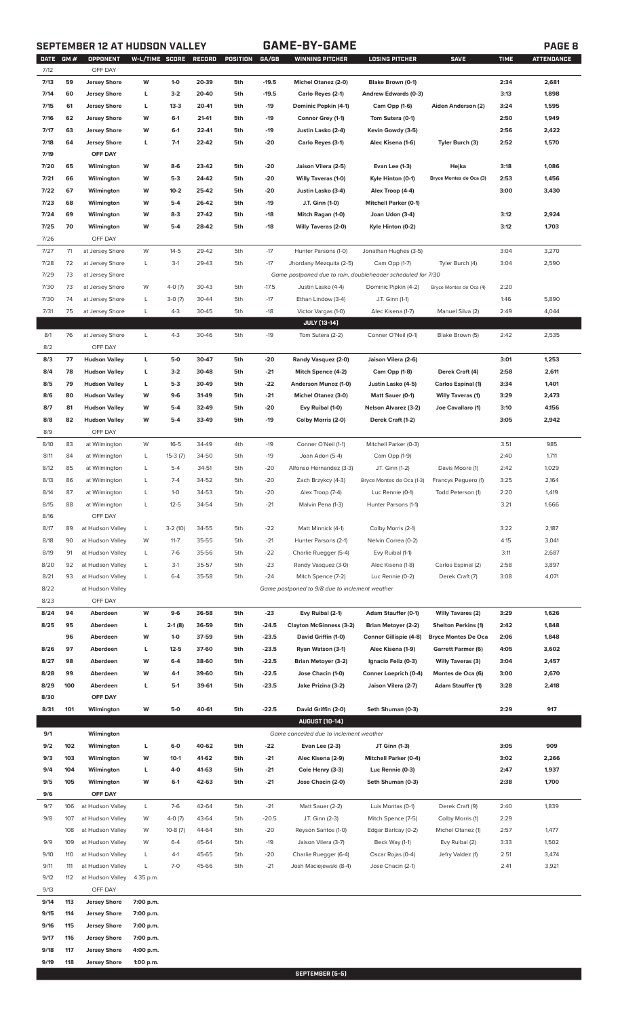## **SEPTEMBER 12 AT HUDSON VALLEY GAME-BY-GAME PAGE 8**

| <b>DATE</b> | GM# | OPPONENT             | W-L/TIME SCORE |           | RECORD | POSITION | GA/GB   | WINNING PITCHER                                             | <b>LOSING PITCHER</b>        | <b>SAVE</b>                | <b>TIME</b> | <u>ATTENDANCE</u> |
|-------------|-----|----------------------|----------------|-----------|--------|----------|---------|-------------------------------------------------------------|------------------------------|----------------------------|-------------|-------------------|
| 7/12        |     | OFF DAY              |                |           |        |          |         |                                                             |                              |                            |             |                   |
| 7/13        | 59  | <b>Jersey Shore</b>  | W              | $1 - 0$   | 20-39  | 5th      | $-19.5$ | Michel Otanez (2-0)                                         | Blake Brown (0-1)            |                            | 2:34        | 2,681             |
| 7/14        | 60  | Jersey Shore         | L              | $3-2$     | 20-40  | 5th      | $-19.5$ | Carlo Reyes (2-1)                                           | Andrew Edwards (0-3)         |                            | 3:13        | 1,898             |
| 7/15        | 61  | Jersey Shore         | г              | $13-3$    | 20-41  | 5th      | $-19$   | Dominic Popkin (4-1)                                        | Cam Opp (1-6)                | Aiden Anderson (2)         | 3:24        | 1,595             |
| 7/16        | 62  | Jersey Shore         | W              | $6-1$     | 21-41  | 5th      | -19     | Connor Grey (1-1)                                           | Tom Sutera (0-1)             |                            | 2:50        | 1,949             |
| 7/17        | 63  |                      | W              | $6 - 1$   | 22-41  | 5th      | $-19$   | Justin Lasko (2-4)                                          |                              |                            | 2:56        | 2,422             |
|             |     | Jersey Shore         |                |           |        |          |         |                                                             | Kevin Gowdy (3-5)            |                            |             |                   |
| 7/18        | 64  | Jersey Shore         | г              | $7-1$     | 22-42  | 5th      | $-20$   | Carlo Reyes (3-1)                                           | Alec Kisena (1-6)            | Tyler Burch (3)            | 2:52        | 1,570             |
| 7/19        |     | OFF DAY              |                |           |        |          |         |                                                             |                              |                            |             |                   |
| 7/20        | 65  | Wilmington           | W              | $8-6$     | 23-42  | 5th      | -20     | Jaison Vilera (2-5)                                         | <b>Evan Lee (1-3)</b>        | Hejka                      | 3:18        | 1,086             |
| 7/21        | 66  | Wilmington           | W              | $5-3$     | 24-42  | 5th      | -20     | <b>Willy Taveras (1-0)</b>                                  | Kyle Hinton (0-1)            | Bryce Montes de Oca (3)    | 2:53        | 1,456             |
| 7/22        | 67  | Wilmington           | W              | $10-2$    | 25-42  | 5th      | -20     | Justin Lasko (3-4)                                          | Alex Troop (4-4)             |                            | 3:00        | 3,430             |
| 7/23        | 68  | Wilmington           | W              | $5-4$     | 26-42  | 5th      | $-19$   | J.T. Ginn (1-0)                                             | <b>Mitchell Parker (0-1)</b> |                            |             |                   |
| 7/24        | 69  | Wilmington           | W              | $8-3$     | 27-42  | 5th      | $-18$   | Mitch Ragan (1-0)                                           | Joan Udon (3-4)              |                            | 3:12        | 2,924             |
| 7/25        | 70  | Wilmington           | W              | $5-4$     | 28-42  | 5th      | $-18$   | <b>Willy Taveras (2-0)</b>                                  | Kyle Hinton (0-2)            |                            | 3:12        | 1,703             |
|             |     |                      |                |           |        |          |         |                                                             |                              |                            |             |                   |
| 7/26        |     | OFF DAY              |                |           |        |          |         |                                                             |                              |                            |             |                   |
| 7/27        | 71  | at Jersey Shore      | W              | $14 - 5$  | 29-42  | 5th      | $-17$   | Hunter Parsons (1-0)                                        | Jonathan Hughes (3-5)        |                            | 3:04        | 3,270             |
| 7/28        | 72  | at Jersey Shore      | L              | $3-1$     | 29-43  | 5th      | $-17$   | Jhordany Mezquita (2-5)                                     | Cam Opp (1-7)                | Tyler Burch (4)            | 3:04        | 2,590             |
| 7/29        | 73  | at Jersey Shore      |                |           |        |          |         | Game postponed due to rain, doubleheader scheduled for 7/30 |                              |                            |             |                   |
| 7/30        | 73  | at Jersey Shore      | W              | $4-0(7)$  | 30-43  | 5th      | $-17.5$ | Justin Lasko (4-4)                                          | Dominic Pipkin (4-2)         | Bryce Montes de Oca (4)    | 2:20        |                   |
| 7/30        | 74  | at Jersey Shore      | L              | $3-0(7)$  | 30-44  | 5th      | $-17$   | Ethan Lindow (3-4)                                          | J.T. Ginn (1-1)              |                            | 1:46        | 5,890             |
| 7/31        | 75  | at Jersey Shore      | L              | $4 - 3$   | 30-45  | 5th      | $-18$   | Victor Vargas (1-0)                                         | Alec Kisena (1-7)            | Manuel Silva (2)           | 2:49        | 4,044             |
|             |     |                      |                |           |        |          |         | <b>JULY [13-14]</b>                                         |                              |                            |             |                   |
| 8/1         | 76  | at Jersey Shore      | L              | $4 - 3$   | 30-46  | 5th      | $-19$   | Tom Sutera (2-2)                                            | Conner O'Neil (0-1)          | Blake Brown (5)            | 2:42        | 2,535             |
| 8/2         |     | OFF DAY              |                |           |        |          |         |                                                             |                              |                            |             |                   |
|             |     |                      |                |           |        |          |         |                                                             |                              |                            |             |                   |
| 8/3         | 77  | <b>Hudson Valley</b> | L              | $5-0$     | 30-47  | 5th      | $-20$   | Randy Vasquez (2-0)                                         | Jaison Vilera (2-6)          |                            | 3:01        | 1,253             |
| 8/4         | 78  | <b>Hudson Valley</b> | L              | $3-2$     | 30-48  | 5th      | $-21$   | Mitch Spence (4-2)                                          | Cam Opp (1-8)                | Derek Craft (4)            | 2:58        | 2,611             |
| 8/5         | 79  | <b>Hudson Valley</b> | г              | $5-3$     | 30-49  | 5th      | -22     | Anderson Munoz (1-0)                                        | Justin Lasko (4-5)           | Carlos Espinal (1)         | 3:34        | 1,401             |
| 8/6         | 80  | <b>Hudson Valley</b> | W              | $9-6$     | 31-49  | 5th      | $-21$   | <b>Michel Otanez (3-0)</b>                                  | Matt Sauer (0-1)             | <b>Willy Taveras (1)</b>   | 3:29        | 2,473             |
| 8/7         | 81  | <b>Hudson Valley</b> | W              | $5-4$     | 32-49  | 5th      | $-20$   | Evy Ruibal (1-0)                                            | <b>Nelson Alvarez (3-2)</b>  | Joe Cavallaro (1)          | 3:10        | 4,156             |
| 8/8         | 82  | <b>Hudson Valley</b> | W              | $5 - 4$   | 33-49  | 5th      | $-19$   | Colby Morris (2-0)                                          | Derek Craft (1-2)            |                            | 3:05        | 2,942             |
| 8/9         |     | OFF DAY              |                |           |        |          |         |                                                             |                              |                            |             |                   |
| 8/10        | 83  | at Wilmington        | W              | $16 - 5$  | 34-49  | 4th      | $-19$   | Conner O'Neil (1-1)                                         | Mitchell Parker (0-3)        |                            | 3:51        | 985               |
| 8/11        | 84  | at Wilmington        | L              | $15-3(7)$ | 34-50  | 5th      | $-19$   | Joan Adon (5-4)                                             | Cam Opp (1-9)                |                            | 2:40        | 1,711             |
| 8/12        | 85  |                      | L              | $5 - 4$   | 34-51  | 5th      | $-20$   | Alfonso Hernandez (3-3)                                     | J.T. Ginn (1-2)              | Davis Moore (1)            | 2:42        |                   |
|             |     | at Wilmington        |                |           |        |          |         |                                                             |                              |                            |             | 1,029             |
| 8/13        | 86  | at Wilmington        | L              | $7 - 4$   | 34-52  | 5th      | $-20$   | Zach Brzykcy (4-3)                                          | Bryce Montes de Oca (1-3)    | Francys Peguero (1)        | 3:25        | 2,164             |
| 8/14        | 87  | at Wilmington        | L              | $1 - 0$   | 34-53  | 5th      | $-20$   | Alex Troop (7-4)                                            | Luc Rennie (0-1)             | Todd Peterson (1)          | 2:20        | 1,419             |
| 8/15        | 88  | at Wilmington        | L              | $12 - 5$  | 34-54  | 5th      | $-21$   | Malvin Pena (1-3)                                           | Hunter Parsons (1-1)         |                            | 3:21        | 1,666             |
| 8/16        |     | OFF DAY              |                |           |        |          |         |                                                             |                              |                            |             |                   |
| 8/17        | 89  | at Hudson Valley     | L              | $3-2(10)$ | 34-55  | 5th      | $-22$   | Matt Minnick (4-1)                                          | Colby Morris (2-1)           |                            | 3:22        | 2,187             |
| 8/18        | 90  | at Hudson Valley     | W              | $11 - 7$  | 35-55  | 5th      | $-21$   | Hunter Parsons (2-1)                                        | Nelvin Correa (0-2)          |                            | 4:15        | 3,041             |
| 8/19        | 91  | at Hudson Valley     | L              | $7-6$     | 35-56  | 5th      | $-22$   | Charlie Ruegger (5-4)                                       | Evy Ruibal (1-1)             |                            | 3:11        | 2,687             |
| 8/20        | 92  | at Hudson Valley     | L              | $3-1$     | 35-57  | 5th      | $-23$   | Randy Vasquez (3-0)                                         | Alec Kisena (1-8)            | Carlos Espinal (2)         | 2:58        | 3,897             |
| 8/21        | 93  | at Hudson Valley     | L              | $6 - 4$   | 35-58  | 5th      | $-24$   | Mitch Spence (7-2)                                          | Luc Rennie (0-2)             | Derek Craft (7)            | 3:08        | 4,071             |
|             |     |                      |                |           |        |          |         |                                                             |                              |                            |             |                   |
| 8/22        |     | at Hudson Valley     |                |           |        |          |         | Game postponed to 9/8 due to inclement weather              |                              |                            |             |                   |
| 8/23        |     | OFF DAY              |                |           |        |          |         |                                                             |                              |                            |             |                   |
| 8/24        | 94  | Aberdeen             | W              | $9-6$     | 36-58  | 5th      | $-23$   | Evy Ruibal (2-1)                                            | Adam Stauffer (0-1)          | <b>Willy Tavares (2)</b>   | 3:29        | 1,626             |
| 8/25        | 95  | Aberdeen             | г              | 2-1 (8)   | 36-59  | 5th      | -24.5   | <b>Clayton McGinness (3-2)</b>                              | <b>Brian Metoyer (2-2)</b>   | <b>Shelton Perkins (1)</b> | 2:42        | 1,848             |
|             | 96  | Aberdeen             | W              | $1 - 0$   | 37-59  | 5th      | -23.5   | David Griffin (1-0)                                         | Connor Gillispie (4-8)       | <b>Bryce Montes De Oca</b> | 2:06        | 1,848             |
| 8/26        | 97  | Aberdeen             | г              | $12 - 5$  | 37-60  | 5th      | -23.5   | Ryan Watson (3-1)                                           | Alec Kisena (1-9)            | <b>Garrett Farmer (6)</b>  | 4:05        | 3,602             |
| 8/27        | 98  | Aberdeen             | W              | $6-4$     | 38-60  | 5th      | -22.5   | <b>Brian Metoyer (3-2)</b>                                  | Ignacio Feliz (0-3)          | <b>Willy Taveras (3)</b>   | 3:04        | 2,457             |
| 8/28        | 99  | Aberdeen             | W              | $4-1$     | 39-60  | 5th      | -22.5   | Jose Chacin (1-0)                                           | Conner Loeprich (0-4)        | Montes de Oca (6)          | 3:00        | 2,670             |
| 8/29        | 100 | Aberdeen             | г              | $5-1$     | 39-61  | 5th      | -23.5   | Jake Prizina (3-2)                                          | Jaison Vilera (2-7)          | <b>Adam Stauffer (1)</b>   | 3:28        | 2,418             |
| 8/30        |     | OFF DAY              |                |           |        |          |         |                                                             |                              |                            |             |                   |
| 8/31        | 101 |                      | W              | $5-0$     | 40-61  | 5th      | $-22.5$ |                                                             |                              |                            | 2:29        | 917               |
|             |     | Wilmington           |                |           |        |          |         | David Griffin (2-0)                                         | Seth Shuman (0-3)            |                            |             |                   |
|             |     |                      |                |           |        |          |         | <b>AUGUST [10-14]</b>                                       |                              |                            |             |                   |
| 9/1         |     | Wilmington           |                |           |        |          |         | Game cancelled due to inclement weather                     |                              |                            |             |                   |
| 9/2         | 102 | Wilmington           | L              | $6-0$     | 40-62  | 5th      | $-22$   | <b>Evan Lee (2-3)</b>                                       | JT Ginn (1-3)                |                            | 3:05        | 909               |
| 9/3         | 103 | Wilmington           | W              | $10-1$    | 41-62  | 5th      | $-21$   | Alec Kisena (2-9)                                           | <b>Mitchell Parker (0-4)</b> |                            | 3:02        | 2,266             |
| 9/4         | 104 | Wilmington           | г              | 4-0       | 41-63  | 5th      | $-21$   | Cole Henry (3-3)                                            | Luc Rennie (0-3)             |                            | 2:47        | 1,937             |
| 9/5         | 105 | Wilmington           | W              | $6-1$     | 42-63  | 5th      | $-21$   | Jose Chacin (2-0)                                           | Seth Shuman (0-3)            |                            | 2:38        | 1,700             |
| 9/6         |     | OFF DAY              |                |           |        |          |         |                                                             |                              |                            |             |                   |
| 9/7         | 106 | at Hudson Valley     | L              | $7-6$     | 42-64  | 5th      | $-21$   | Matt Sauer (2-2)                                            | Luis Montas (0-1)            | Derek Craft (9)            | 2:40        | 1,839             |
| 9/8         | 107 | at Hudson Valley     | W              | $4-0(7)$  | 43-64  | 5th      | $-20.5$ | J.T. Ginn (2-3)                                             | Mitch Spence (7-5)           | Colby Morris (1)           | 2:29        |                   |
|             |     |                      | W              |           |        |          |         |                                                             |                              |                            |             |                   |
|             | 108 | at Hudson Valley     |                | $10-8(7)$ | 44-64  | 5th      | $-20$   | Reyson Santos (1-0)                                         | Edgar Barlcay (0-2)          | Michel Otanez (1)          | 2:57        | 1,477             |
| 9/9         | 109 | at Hudson Valley     | W              | $6 - 4$   | 45-64  | 5th      | $-19$   | Jaison Vilera (3-7)                                         | Beck Way (1-1)               | Evy Ruibal (2)             | 3:33        | 1,502             |
| 9/10        | 110 | at Hudson Valley     | L              | $4-1$     | 45-65  | 5th      | $-20$   | Charlie Ruegger (6-4)                                       | Oscar Rojas (0-4)            | Jefry Valdez (1)           | 2:51        | 3,474             |
| 9/11        | 111 | at Hudson Valley     | L              | $7-0$     | 45-66  | 5th      | $-21$   | Josh Maciejewski (8-4)                                      | Jose Chacin (2-1)            |                            | 2:41        | 3,921             |
| 9/12        | 112 | at Hudson Valley     | 4:35 p.m.      |           |        |          |         |                                                             |                              |                            |             |                   |
| 9/13        |     | OFF DAY              |                |           |        |          |         |                                                             |                              |                            |             |                   |
| 9/14        | 113 | <b>Jersey Shore</b>  | 7:00 p.m.      |           |        |          |         |                                                             |                              |                            |             |                   |
| 9/15        | 114 | <b>Jersey Shore</b>  | 7:00 p.m.      |           |        |          |         |                                                             |                              |                            |             |                   |
| 9/16        | 115 | <b>Jersey Shore</b>  | 7:00 p.m.      |           |        |          |         |                                                             |                              |                            |             |                   |
| 9/17        | 116 | <b>Jersey Shore</b>  | 7:00 p.m.      |           |        |          |         |                                                             |                              |                            |             |                   |
| 9/18        | 117 | Jersey Shore         | 4:00 p.m.      |           |        |          |         |                                                             |                              |                            |             |                   |
|             |     |                      |                |           |        |          |         |                                                             |                              |                            |             |                   |
| 9/19        | 118 | <b>Jersey Shore</b>  | 1:00 p.m.      |           |        |          |         |                                                             |                              |                            |             |                   |